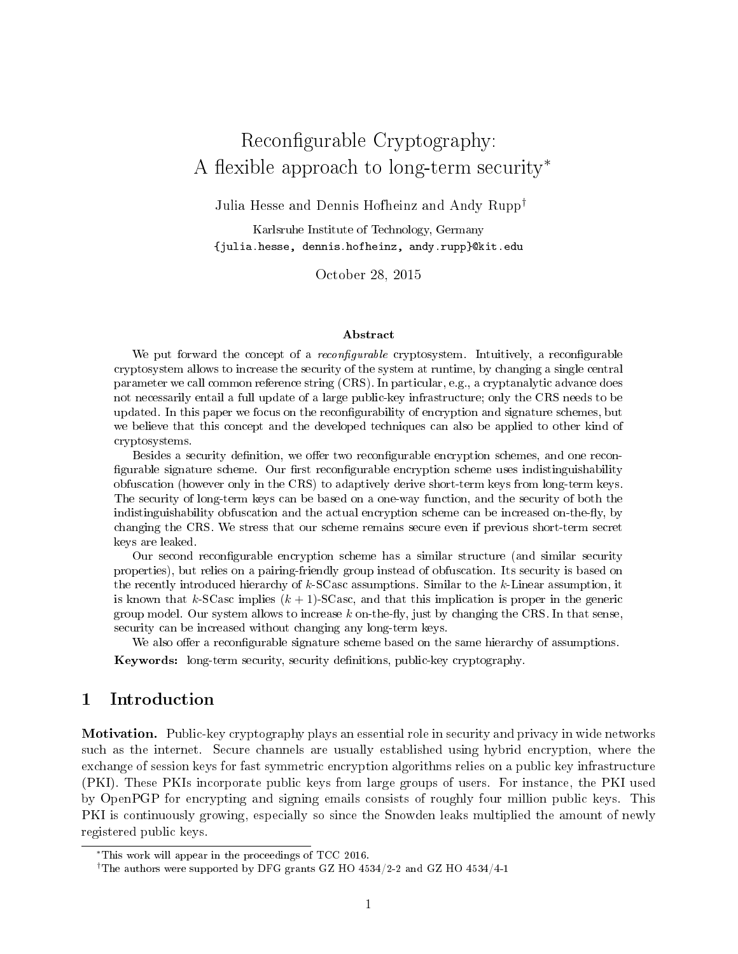# Reconfigurable Cryptography: A flexible approach to long-term security<sup>\*</sup>

Julia Hesse and Dennis Hofheinz and Andy Rupp†

Karlsruhe Institute of Technology, Germany {julia.hesse, dennis.hofheinz, andy.rupp}@kit.edu

October 28, 2015

#### Abstract

We put forward the concept of a *reconfigurable* cryptosystem. Intuitively, a reconfigurable cryptosystem allows to increase the security of the system at runtime, by changing a single central parameter we call common reference string (CRS). In particular, e.g., a cryptanalytic advance does not necessarily entail a full update of a large public-key infrastructure; only the CRS needs to be updated. In this paper we focus on the reconfigurability of encryption and signature schemes, but we believe that this concept and the developed techniques can also be applied to other kind of cryptosystems.

Besides a security definition, we offer two reconfigurable encryption schemes, and one reconfigurable signature scheme. Our first reconfigurable encryption scheme uses indistinguishability obfuscation (however only in the CRS) to adaptively derive short-term keys from long-term keys. The security of long-term keys can be based on a one-way function, and the security of both the indistinguishability obfuscation and the actual encryption scheme can be increased on-the-fly, by changing the CRS. We stress that our scheme remains secure even if previous short-term secret keys are leaked.

Our second reconfigurable encryption scheme has a similar structure (and similar security properties), but relies on a pairing-friendly group instead of obfuscation. Its security is based on the recently introduced hierarchy of  $k$ -SCasc assumptions. Similar to the  $k$ -Linear assumption, it is known that k-SCasc implies  $(k + 1)$ -SCasc, and that this implication is proper in the generic group model. Our system allows to increase  $k$  on-the-fly, just by changing the CRS. In that sense, security can be increased without changing any long-term keys.

We also offer a reconfigurable signature scheme based on the same hierarchy of assumptions. Keywords: long-term security, security definitions, public-key cryptography.

## <span id="page-0-0"></span>1 Introduction

Motivation. Public-key cryptography plays an essential role in security and privacy in wide networks such as the internet. Secure channels are usually established using hybrid encryption, where the exchange of session keys for fast symmetric encryption algorithms relies on a public key infrastructure (PKI). These PKIs incorporate public keys from large groups of users. For instance, the PKI used by OpenPGP for encrypting and signing emails consists of roughly four million public keys. This PKI is continuously growing, especially so since the Snowden leaks multiplied the amount of newly registered public keys.

<sup>∗</sup>This work will appear in the proceedings of TCC 2016.

<sup>&</sup>lt;sup>†</sup>The authors were supported by DFG grants GZ HO 4534/2-2 and GZ HO 4534/4-1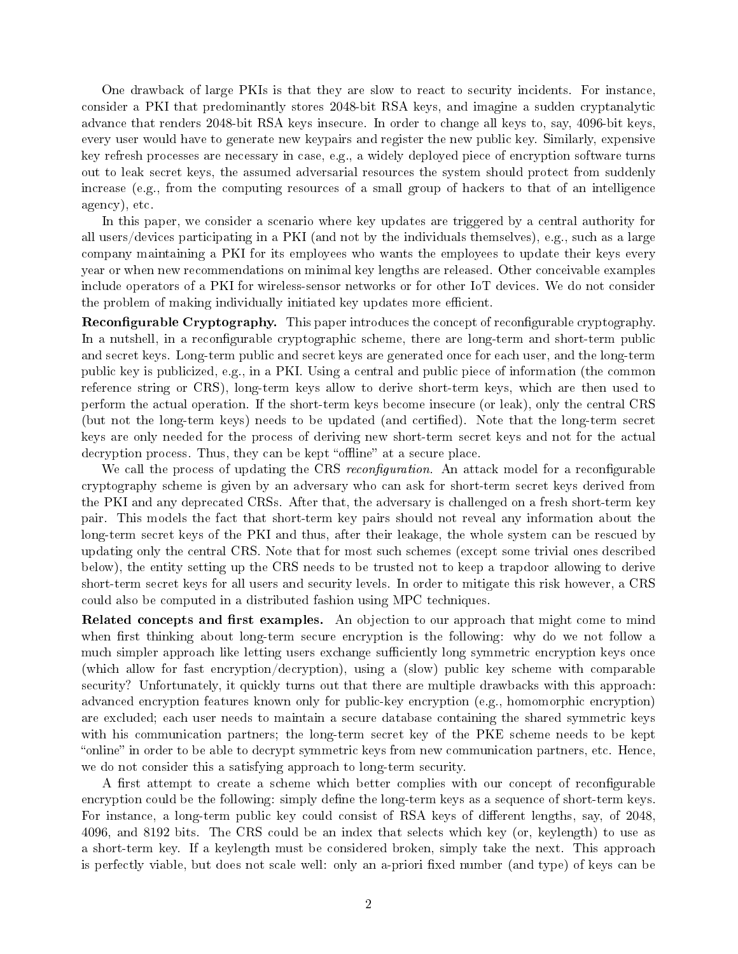One drawback of large PKIs is that they are slow to react to security incidents. For instance, consider a PKI that predominantly stores 2048-bit RSA keys, and imagine a sudden cryptanalytic advance that renders 2048-bit RSA keys insecure. In order to change all keys to, say, 4096-bit keys, every user would have to generate new keypairs and register the new public key. Similarly, expensive key refresh processes are necessary in case, e.g., a widely deployed piece of encryption software turns out to leak secret keys, the assumed adversarial resources the system should protect from suddenly increase (e.g., from the computing resources of a small group of hackers to that of an intelligence agency), etc.

In this paper, we consider a scenario where key updates are triggered by a central authority for all users/devices participating in a PKI (and not by the individuals themselves), e.g., such as a large company maintaining a PKI for its employees who wants the employees to update their keys every year or when new recommendations on minimal key lengths are released. Other conceivable examples include operators of a PKI for wireless-sensor networks or for other IoT devices. We do not consider the problem of making individually initiated key updates more efficient.

**Reconfigurable Cryptography.** This paper introduces the concept of reconfigurable cryptography. In a nutshell, in a reconfigurable cryptographic scheme, there are long-term and short-term public and secret keys. Long-term public and secret keys are generated once for each user, and the long-term public key is publicized, e.g., in a PKI. Using a central and public piece of information (the common reference string or CRS), long-term keys allow to derive short-term keys, which are then used to perform the actual operation. If the short-term keys become insecure (or leak), only the central CRS (but not the long-term keys) needs to be updated (and certified). Note that the long-term secret keys are only needed for the process of deriving new short-term secret keys and not for the actual decryption process. Thus, they can be kept "offline" at a secure place.

We call the process of updating the CRS *reconfiguration*. An attack model for a reconfigurable cryptography scheme is given by an adversary who can ask for short-term secret keys derived from the PKI and any deprecated CRSs. After that, the adversary is challenged on a fresh short-term key pair. This models the fact that short-term key pairs should not reveal any information about the long-term secret keys of the PKI and thus, after their leakage, the whole system can be rescued by updating only the central CRS. Note that for most such schemes (except some trivial ones described below), the entity setting up the CRS needs to be trusted not to keep a trapdoor allowing to derive short-term secret keys for all users and security levels. In order to mitigate this risk however, a CRS could also be computed in a distributed fashion using MPC techniques.

**Related concepts and first examples.** An objection to our approach that might come to mind when first thinking about long-term secure encryption is the following: why do we not follow a much simpler approach like letting users exchange sufficiently long symmetric encryption keys once (which allow for fast encryption/decryption), using a (slow) public key scheme with comparable security? Unfortunately, it quickly turns out that there are multiple drawbacks with this approach: advanced encryption features known only for public-key encryption (e.g., homomorphic encryption) are excluded; each user needs to maintain a secure database containing the shared symmetric keys with his communication partners; the long-term secret key of the PKE scheme needs to be kept "online" in order to be able to decrypt symmetric keys from new communication partners, etc. Hence, we do not consider this a satisfying approach to long-term security.

A first attempt to create a scheme which better complies with our concept of reconfigurable encryption could be the following: simply define the long-term keys as a sequence of short-term keys. For instance, a long-term public key could consist of RSA keys of different lengths, say, of 2048. 4096, and 8192 bits. The CRS could be an index that selects which key (or, keylength) to use as a short-term key. If a keylength must be considered broken, simply take the next. This approach is perfectly viable, but does not scale well: only an a-priori fixed number (and type) of keys can be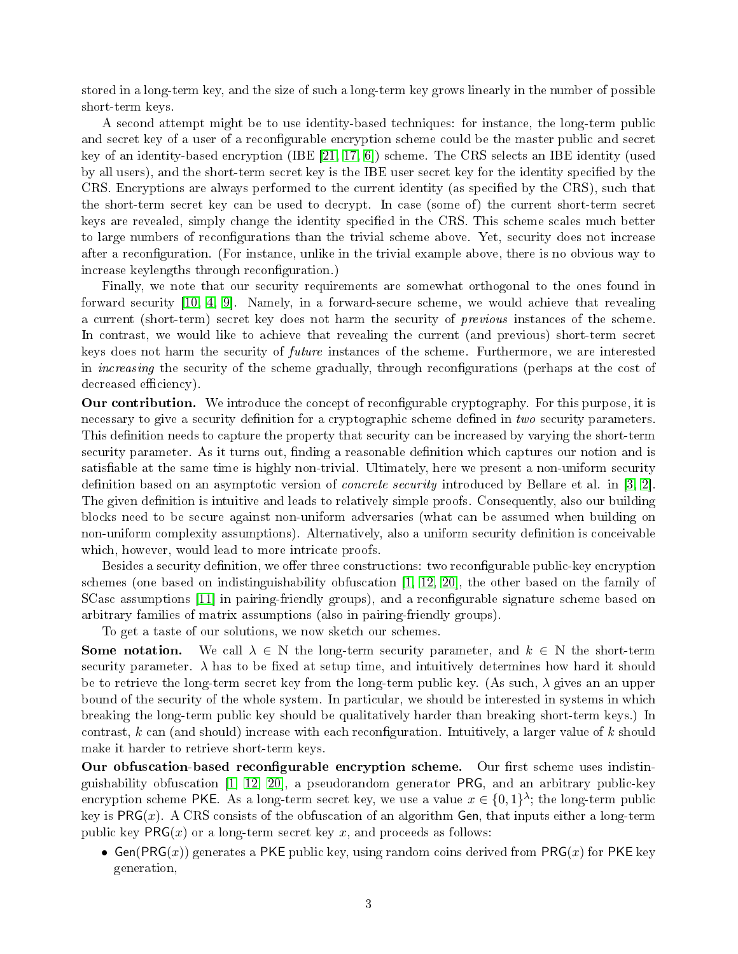stored in a long-term key, and the size of such a long-term key grows linearly in the number of possible short-term keys.

A second attempt might be to use identity-based techniques: for instance, the long-term public and secret key of a user of a reconfigurable encryption scheme could be the master public and secret key of an identity-based encryption (IBE [\[21,](#page-25-0) [17,](#page-25-1) [6\]](#page-24-0)) scheme. The CRS selects an IBE identity (used by all users), and the short-term secret key is the IBE user secret key for the identity specified by the CRS. Encryptions are always performed to the current identity (as specified by the CRS), such that the short-term secret key can be used to decrypt. In case (some of) the current short-term secret keys are revealed, simply change the identity specified in the CRS. This scheme scales much better to large numbers of reconfigurations than the trivial scheme above. Yet, security does not increase after a reconfiguration. (For instance, unlike in the trivial example above, there is no obvious way to increase keylengths through reconfiguration.)

Finally, we note that our security requirements are somewhat orthogonal to the ones found in forward security [\[10,](#page-24-1) [4,](#page-24-2) [9\]](#page-24-3). Namely, in a forward-secure scheme, we would achieve that revealing a current (short-term) secret key does not harm the security of previous instances of the scheme. In contrast, we would like to achieve that revealing the current (and previous) short-term secret keys does not harm the security of future instances of the scheme. Furthermore, we are interested in *increasing* the security of the scheme gradually, through reconfigurations (perhaps at the cost of decreased efficiency).

**Our contribution.** We introduce the concept of reconfigurable cryptography. For this purpose, it is necessary to give a security definition for a cryptographic scheme defined in two security parameters. This definition needs to capture the property that security can be increased by varying the short-term security parameter. As it turns out, finding a reasonable definition which captures our notion and is satisfiable at the same time is highly non-trivial. Ultimately, here we present a non-uniform security definition based on an asymptotic version of *concrete security* introduced by Bellare et al. in  $[3, 2]$  $[3, 2]$ . The given definition is intuitive and leads to relatively simple proofs. Consequently, also our building blocks need to be secure against non-uniform adversaries (what can be assumed when building on non-uniform complexity assumptions). Alternatively, also a uniform security definition is conceivable which, however, would lead to more intricate proofs.

Besides a security definition, we offer three constructions: two reconfigurable public-key encryption schemes (one based on indistinguishability obfuscation [\[1,](#page-24-6) [12,](#page-24-7) [20\]](#page-25-2), the other based on the family of SCasc assumptions [\[11\]](#page-24-8) in pairing-friendly groups), and a reconfigurable signature scheme based on arbitrary families of matrix assumptions (also in pairing-friendly groups).

To get a taste of our solutions, we now sketch our schemes.

**Some notation.** We call  $\lambda \in \mathbb{N}$  the long-term security parameter, and  $k \in \mathbb{N}$  the short-term security parameter.  $\lambda$  has to be fixed at setup time, and intuitively determines how hard it should be to retrieve the long-term secret key from the long-term public key. (As such,  $\lambda$  gives an an upper bound of the security of the whole system. In particular, we should be interested in systems in which breaking the long-term public key should be qualitatively harder than breaking short-term keys.) In contrast,  $k$  can (and should) increase with each reconfiguration. Intuitively, a larger value of  $k$  should make it harder to retrieve short-term keys.

Our obfuscation-based reconfigurable encryption scheme. Our first scheme uses indistinguishability obfuscation  $\begin{bmatrix} 1, 12, 20 \end{bmatrix}$  $\begin{bmatrix} 1, 12, 20 \end{bmatrix}$  $\begin{bmatrix} 1, 12, 20 \end{bmatrix}$ , a pseudorandom generator PRG, and an arbitrary public-key encryption scheme PKE. As a long-term secret key, we use a value  $x \in \{0,1\}^{\lambda}$ ; the long-term public key is  $PRG(x)$ . A CRS consists of the obfuscation of an algorithm Gen, that inputs either a long-term public key  $PRG(x)$  or a long-term secret key x, and proceeds as follows:

• Gen(PRG(x)) generates a PKE public key, using random coins derived from PRG(x) for PKE key generation,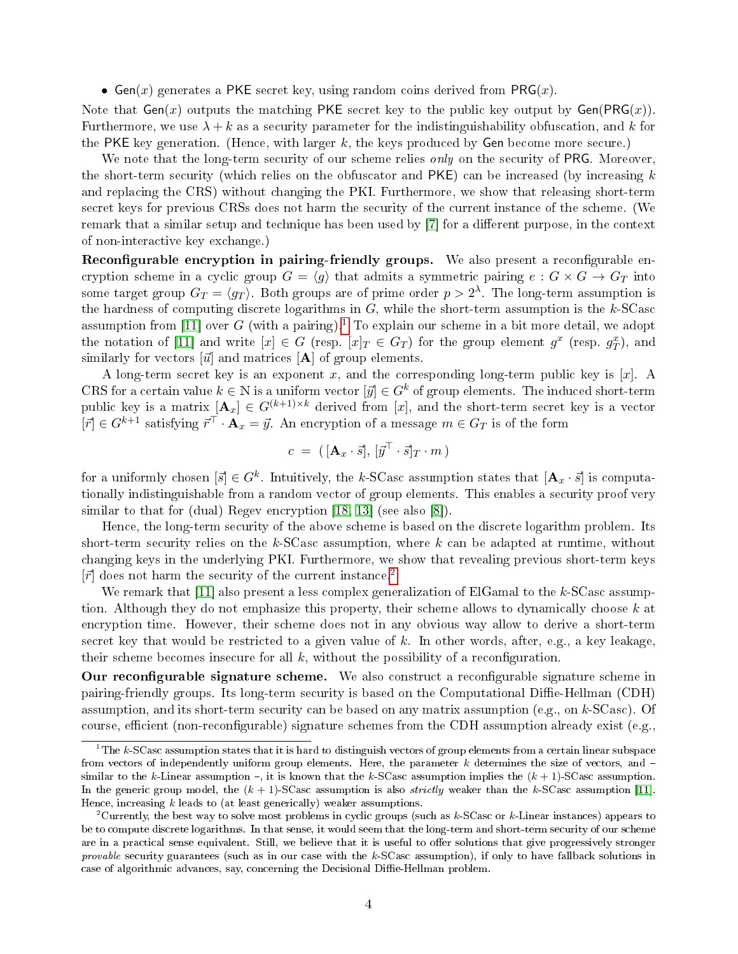• Gen(x) generates a PKE secret key, using random coins derived from  $PRG(x)$ .

Note that  $Gen(x)$  outputs the matching PKE secret key to the public key output by  $Gen(PRG(x))$ . Furthermore, we use  $\lambda + k$  as a security parameter for the indistinguishability obfuscation, and k for the PKE key generation. (Hence, with larger  $k$ , the keys produced by Gen become more secure.)

We note that the long-term security of our scheme relies *only* on the security of PRG. Moreover, the short-term security (which relies on the obfuscator and  $PKE$ ) can be increased (by increasing k and replacing the CRS) without changing the PKI. Furthermore, we show that releasing short-term secret keys for previous CRSs does not harm the security of the current instance of the scheme. (We remark that a similar setup and technique has been used by [\[7\]](#page-24-9) for a different purpose, in the context of non-interactive key exchange.)

**Reconfigurable encryption in pairing-friendly groups.** We also present a reconfigurable encryption scheme in a cyclic group  $G = \langle g \rangle$  that admits a symmetric pairing  $e : G \times G \to G_T$  into some target group  $G_T = \langle g_T \rangle$ . Both groups are of prime order  $p > 2^{\lambda}$ . The long-term assumption is the hardness of computing discrete logarithms in  $G$ , while the short-term assumption is the k-SCasc assumption from [\[11\]](#page-24-8) over G (with a pairing).<sup>[1](#page-3-0)</sup> To explain our scheme in a bit more detail, we adopt the notation of [\[11\]](#page-24-8) and write  $[x] \in G$  (resp.  $[x]_T \in G_T$ ) for the group element  $g^x$  (resp.  $g^x_T$ ), and similarly for vectors  $[\vec{u}]$  and matrices  $[A]$  of group elements.

A long-term secret key is an exponent  $x$ , and the corresponding long-term public key is  $[x]$ . A CRS for a certain value  $k \in \mathbb{N}$  is a uniform vector  $[\vec{y}] \in G^k$  of group elements. The induced short-term public key is a matrix  $[\mathbf{A}_x] \in G^{(k+1)\times k}$  derived from [x], and the short-term secret key is a vector  $[\vec{r}] \in G^{k+1}$  satisfying  $\vec{r}^{\perp} \cdot \mathbf{A}_x = \vec{y}$ . An encryption of a message  $m \in G_T$  is of the form

$$
c = ([\mathbf{A}_x \cdot \vec{s}], [\vec{y}^\top \cdot \vec{s}]_T \cdot m)
$$

for a uniformly chosen  $[\vec{s}] \in G^k$ . Intuitively, the k-SCasc assumption states that  $[\mathbf{A}_x \cdot \vec{s}]$  is computationally indistinguishable from a random vector of group elements. This enables a security proof very similar to that for (dual) Regev encryption [\[18,](#page-25-3) [13\]](#page-24-10) (see also [\[8\]](#page-24-11)).

Hence, the long-term security of the above scheme is based on the discrete logarithm problem. Its short-term security relies on the  $k$ -SCasc assumption, where  $k$  can be adapted at runtime, without changing keys in the underlying PKI. Furthermore, we show that revealing previous short-term keys  $|\vec{r}|$  does not harm the security of the current instance.<sup>[2](#page-3-1)</sup>

We remark that [\[11\]](#page-24-8) also present a less complex generalization of ElGamal to the  $k$ -SCasc assumption. Although they do not emphasize this property, their scheme allows to dynamically choose  $k$  at encryption time. However, their scheme does not in any obvious way allow to derive a short-term secret key that would be restricted to a given value of  $k$ . In other words, after, e.g., a key leakage, their scheme becomes insecure for all  $k$ , without the possibility of a reconfiguration.

**Our reconfigurable signature scheme.** We also construct a reconfigurable signature scheme in pairing-friendly groups. Its long-term security is based on the Computational Diffie-Hellman (CDH) assumption, and its short-term security can be based on any matrix assumption (e.g., on  $k$ -SCasc). Of course, efficient (non-reconfigurable) signature schemes from the CDH assumption already exist (e.g.,

<span id="page-3-0"></span><sup>&</sup>lt;sup>1</sup>The k-SCasc assumption states that it is hard to distinguish vectors of group elements from a certain linear subspace from vectors of independently uniform group elements. Here, the parameter  $k$  determines the size of vectors, and  $$ similar to the k-Linear assumption –, it is known that the k-SCasc assumption implies the  $(k + 1)$ -SCasc assumption. In the generic group model, the  $(k + 1)$ -SCasc assumption is also *strictly* weaker than the k-SCasc assumption [\[11\]](#page-24-8). Hence, increasing  $k$  leads to (at least generically) weaker assumptions.

<span id="page-3-1"></span><sup>&</sup>lt;sup>2</sup>Currently, the best way to solve most problems in cyclic groups (such as  $k$ -SCasc or  $k$ -Linear instances) appears to be to compute discrete logarithms. In that sense, it would seem that the long-term and short-term security of our scheme are in a practical sense equivalent. Still, we believe that it is useful to offer solutions that give progressively stronger provable security guarantees (such as in our case with the k-SCasc assumption), if only to have fallback solutions in case of algorithmic advances, say, concerning the Decisional Diffie-Hellman problem.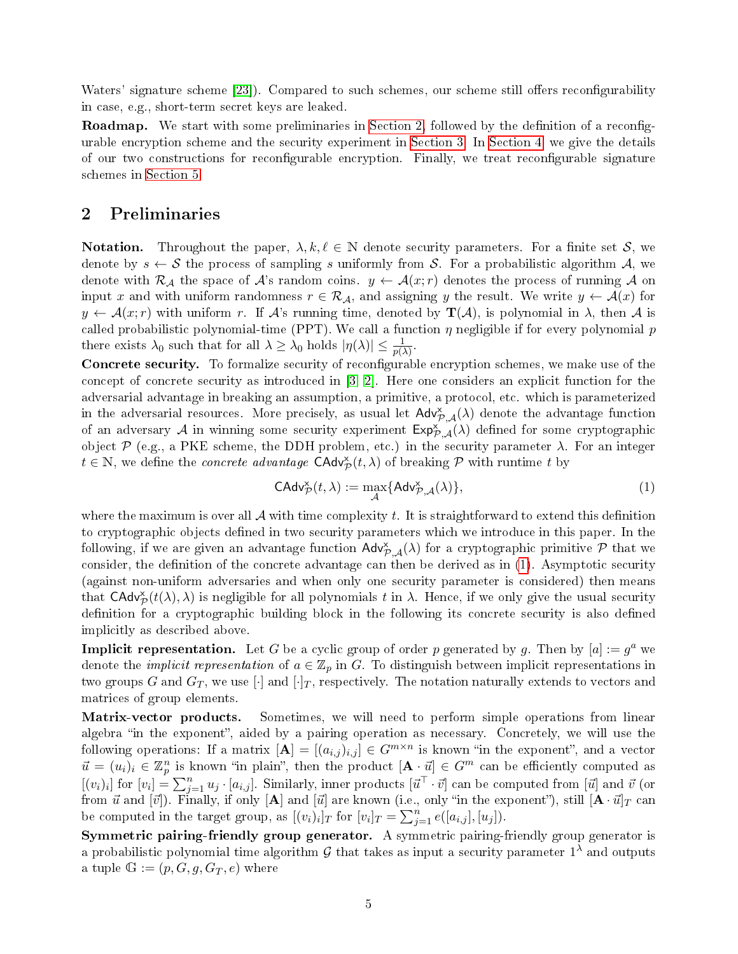Waters' signature scheme [\[23\]](#page-25-4)). Compared to such schemes, our scheme still offers reconfigurability in case, e.g., short-term secret keys are leaked.

**Roadmap.** We start with some preliminaries in [Section 2,](#page-4-0) followed by the definition of a reconfigurable encryption scheme and the security experiment in [Section 3.](#page-6-0) In [Section 4,](#page-9-0) we give the details of our two constructions for reconfigurable encryption. Finally, we treat reconfigurable signature schemes in [Section 5.](#page-17-0)

## <span id="page-4-0"></span>2 Preliminaries

**Notation.** Throughout the paper,  $\lambda, k, \ell \in \mathbb{N}$  denote security parameters. For a finite set S, we denote by  $s \leftarrow S$  the process of sampling s uniformly from S. For a probabilistic algorithm A, we denote with  $\mathcal{R}_{\mathcal{A}}$  the space of  $\mathcal{A}'$ 's random coins.  $y \leftarrow \mathcal{A}(x; r)$  denotes the process of running  $\mathcal{A}$  on input x and with uniform randomness  $r \in \mathcal{R}_{\mathcal{A}}$ , and assigning y the result. We write  $y \leftarrow \mathcal{A}(x)$  for  $y \leftarrow \mathcal{A}(x; r)$  with uniform r. If  $\mathcal{A}$ 's running time, denoted by  $\mathbf{T}(\mathcal{A})$ , is polynomial in  $\lambda$ , then  $\mathcal{A}$  is called probabilistic polynomial-time (PPT). We call a function  $\eta$  negligible if for every polynomial  $p$ there exists  $\lambda_0$  such that for all  $\lambda \geq \lambda_0$  holds  $|\eta(\lambda)| \leq \frac{1}{p(\lambda)}$ .

Concrete security. To formalize security of reconfigurable encryption schemes, we make use of the concept of concrete security as introduced in [\[3,](#page-24-4) [2\]](#page-24-5). Here one considers an explicit function for the adversarial advantage in breaking an assumption, a primitive, a protocol, etc. which is parameterized in the adversarial resources. More precisely, as usual let  $\mathsf{Adv}_{\mathcal{P},\mathcal{A}}^{\mathsf{x}}(\lambda)$  denote the advantage function of an adversary  $A$  in winning some security experiment  $Exp_{\mathcal{P},\mathcal{A}}^{\times}(\lambda)$  defined for some cryptographic object P (e.g., a PKE scheme, the DDH problem, etc.) in the security parameter  $\lambda$ . For an integer  $t \in \mathbb{N}$ , we define the *concrete advantage*  $\mathsf{CAdv}_{\mathcal{P}}^{\times}(t, \lambda)$  of breaking  $\mathcal P$  with runtime  $t$  by

<span id="page-4-1"></span>
$$
\mathrm{CAdv}_{\mathcal{P}}^{\mathsf{x}}(t,\lambda) := \max_{\mathcal{A}} \{ \mathrm{Adv}_{\mathcal{P},\mathcal{A}}^{\mathsf{x}}(\lambda) \},\tag{1}
$$

where the maximum is over all  $\mathcal A$  with time complexity  $t$ . It is straightforward to extend this definition to cryptographic objects defined in two security parameters which we introduce in this paper. In the following, if we are given an advantage function  $\mathsf{Adv}_{\mathcal{P},\mathcal{A}}^{\mathsf{x}}(\lambda)$  for a cryptographic primitive  $\mathcal P$  that we consider, the definition of the concrete advantage can then be derived as in  $(1)$ . Asymptotic security (against non-uniform adversaries and when only one security parameter is considered) then means that  $CAdv_{\mathcal{P}}^{\mathsf{x}}(t(\lambda),\lambda)$  is negligible for all polynomials t in  $\lambda$ . Hence, if we only give the usual security definition for a cryptographic building block in the following its concrete security is also defined implicitly as described above.

**Implicit representation.** Let G be a cyclic group of order p generated by g. Then by  $[a] := g^a$  we denote the *implicit representation* of  $a \in \mathbb{Z}_p$  in G. To distinguish between implicit representations in two groups G and  $G_T$ , we use  $[\cdot]$  and  $[\cdot]_T$ , respectively. The notation naturally extends to vectors and matrices of group elements.

Matrix-vector products. Sometimes, we will need to perform simple operations from linear algebra "in the exponent", aided by a pairing operation as necessary. Concretely, we will use the following operations: If a matrix  $[\mathbf{A}] = [(a_{i,j})_{i,j}] \in G^{m \times n}$  is known "in the exponent", and a vector  $\vec{u} = (u_i)_i \in \mathbb{Z}_p^n$  is known "in plain", then the product  $[\mathbf{A} \cdot \vec{u}] \in G^m$  can be efficiently computed as  $[(v_i)_i]$  for  $[v_i] = \sum_{j=1}^n u_j \cdot [a_{i,j}]$ . Similarly, inner products  $[\vec{u}^\top \cdot \vec{v}]$  can be computed from  $[\vec{u}]$  and  $\vec{v}$  (or from  $\vec{u}$  and  $[\vec{v}]$ ). Finally, if only  $[\mathbf{A}]$  and  $[\vec{u}]$  are known (i.e., only "in the exponent"), still  $[\mathbf{A} \cdot \vec{u}]_T$  can be computed in the target group, as  $[(v_i)_i]_T$  for  $[v_i]_T = \sum_{j=1}^n e([a_{i,j}], [u_j])$ .

Symmetric pairing-friendly group generator. A symmetric pairing-friendly group generator is a probabilistic polynomial time algorithm  ${\cal G}$  that takes as input a security parameter  $1^\lambda$  and outputs a tuple  $\mathbb{G} := (p, G, g, G_T, e)$  where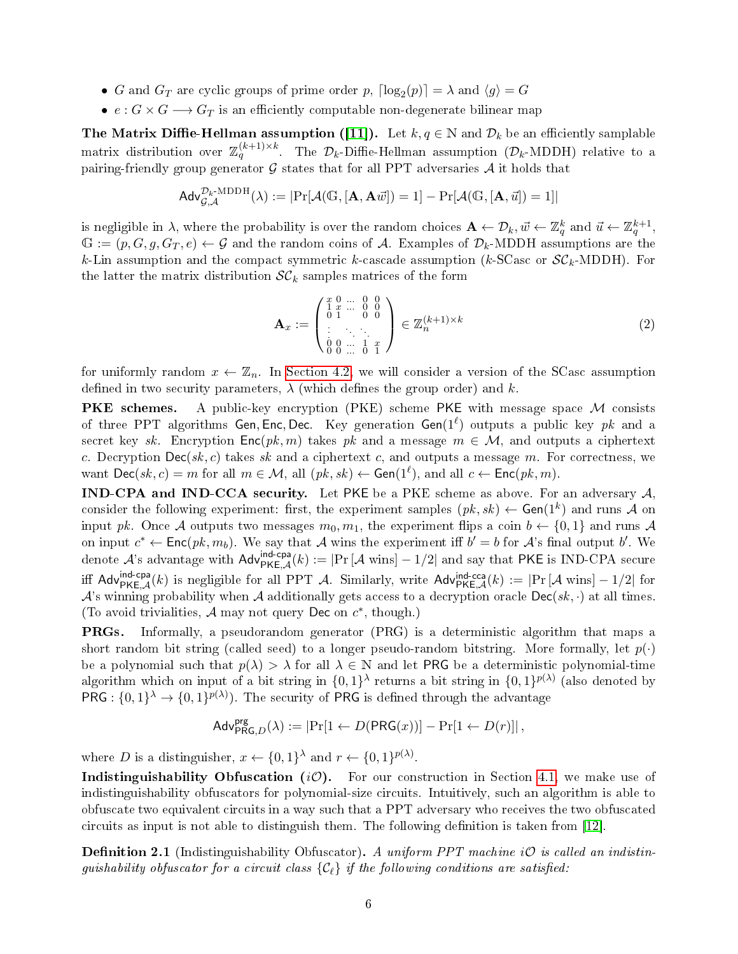- G and  $G_T$  are cyclic groups of prime order p,  $\lceil \log_2(p) \rceil = \lambda$  and  $\langle g \rangle = G$
- $e: G \times G \longrightarrow G_T$  is an efficiently computable non-degenerate bilinear map

The Matrix Diffie-Hellman assumption ([\[11\]](#page-24-8)). Let  $k, q \in \mathbb{N}$  and  $\mathcal{D}_k$  be an efficiently samplable matrix distribution over  $\mathbb{Z}_q^{(k+1)\times k}$ . The  $\mathcal{D}_k$ -Diffie-Hellman assumption  $(\mathcal{D}_k\text{-MDDH})$  relative to a pairing-friendly group generator  $G$  states that for all PPT adversaries  $A$  it holds that

$$
\mathsf{Adv}_{\mathcal{G}, \mathcal{A}}^{\mathcal{D}_k\text{-MDDH}}(\lambda) := |\mathrm{Pr}[\mathcal{A}(\mathbb{G}, [\mathbf{A}, \mathbf{A}\vec{w}]) = 1] - \mathrm{Pr}[\mathcal{A}(\mathbb{G}, [\mathbf{A},\vec{u}]) = 1]|
$$

is negligible in  $\lambda$ , where the probability is over the random choices  $\mathbf{A} \leftarrow \mathcal{D}_k, \vec{w} \leftarrow \mathbb{Z}_q^k$  and  $\vec{u} \leftarrow \mathbb{Z}_q^{k+1}$ ,  $G := (p, G, g, G_T, e) \leftarrow G$  and the random coins of A. Examples of  $\mathcal{D}_k$ -MDDH assumptions are the k-Lin assumption and the compact symmetric k-cascade assumption (k-SCasc or  $SC_k$ -MDDH). For the latter the matrix distribution  $\mathcal{SC}_k$  samples matrices of the form

<span id="page-5-0"></span>
$$
\mathbf{A}_{x} := \begin{pmatrix} \frac{x}{1} & \cdots & 0 & 0\\ 0 & 1 & \cdots & 0 & 0\\ 0 & 0 & \cdots & 0 & 0\\ 0 & 0 & \cdots & 0 & 1\\ 0 & 0 & \cdots & 0 & 0 \end{pmatrix} \in \mathbb{Z}_{n}^{(k+1)\times k}
$$
(2)

for uniformly random  $x \leftarrow \mathbb{Z}_n$ . In [Section 4.2,](#page-14-0) we will consider a version of the SCasc assumption defined in two security parameters,  $\lambda$  (which defines the group order) and k.

**PKE** schemes. A public-key encryption (PKE) scheme PKE with message space  $M$  consists of three PPT algorithms Gen, Enc, Dec. Key generation Gen( $1^{\ell}$ ) outputs a public key  $pk$  and a secret key sk. Encryption  $Enc(pk, m)$  takes pk and a message  $m \in \mathcal{M}$ , and outputs a ciphertext c. Decryption  $Dec(sk, c)$  takes sk and a ciphertext c, and outputs a message m. For correctness, we want  $\mathsf{Dec}(sk, c) = m$  for all  $m \in \mathcal{M}$ , all  $(pk, sk) \leftarrow \mathsf{Gen}(1^{\ell})$ , and all  $c \leftarrow \mathsf{Enc}(pk, m)$ .

IND-CPA and IND-CCA security. Let PKE be a PKE scheme as above. For an adversary A, consider the following experiment: first, the experiment samples  $(pk, sk) \leftarrow$  Gen $(1^k)$  and runs  ${\cal A}$  on input pk. Once A outputs two messages  $m_0, m_1$ , the experiment flips a coin  $b \leftarrow \{0, 1\}$  and runs A on input  $c^* \leftarrow \mathsf{Enc}(pk, m_b)$ . We say that A wins the experiment iff  $b' = b$  for A's final output b'. We denote A's advantage with  $\mathsf{Adv}_{\mathsf{PKE},\mathcal{A}}^{\mathsf{ind-cpa}}(k) := |\Pr[\mathcal{A} \text{ wins}] - 1/2|$  and say that PKE is IND-CPA secure iff  $\mathsf{Adv}_{\mathsf{PKE},\mathcal{A}}^{\mathsf{ind-cpa}}(k)$  is negligible for all PPT  $\mathcal{A}$ . Similarly, write  $\mathsf{Adv}_{\mathsf{PKE},\mathcal{A}}^{\mathsf{ind-cca}}(k) := |\Pr[\mathcal{A} \text{ wins}] - 1/2|$  for A's winning probability when A additionally gets access to a decryption oracle  $\textsf{Dec}(sk, \cdot)$  at all times. (To avoid trivialities,  $A$  may not query Dec on  $c^*$ , though.)

PRGs. Informally, a pseudorandom generator (PRG) is a deterministic algorithm that maps a short random bit string (called seed) to a longer pseudo-random bitstring. More formally, let  $p(\cdot)$ be a polynomial such that  $p(\lambda) > \lambda$  for all  $\lambda \in \mathbb{N}$  and let PRG be a deterministic polynomial-time algorithm which on input of a bit string in  $\{0,1\}^{\lambda}$  returns a bit string in  $\{0,1\}^{p(\lambda)}$  (also denoted by PRG :  $\{0,1\}^{\lambda} \rightarrow \{0,1\}^{p(\lambda)}$ ). The security of PRG is defined through the advantage

$$
\mathsf{Adv}_{\mathsf{PRG}, D}^{\mathsf{prg}}(\lambda) := \left| \Pr[\mathbf{1} \leftarrow D(\mathsf{PRG}(x))] - \Pr[\mathbf{1} \leftarrow D(r)] \right],
$$

where D is a distinguisher,  $x \leftarrow \{0,1\}^{\lambda}$  and  $r \leftarrow \{0,1\}^{p(\lambda)}$ .

Indistinguishability Obfuscation  $(i\mathcal{O})$ . For our construction in Section [4.1,](#page-9-1) we make use of indistinguishability obfuscators for polynomial-size circuits. Intuitively, such an algorithm is able to obfuscate two equivalent circuits in a way such that a PPT adversary who receives the two obfuscated circuits as input is not able to distinguish them. The following denition is taken from [\[12\]](#page-24-7).

**Definition 2.1** (Indistinguishability Obfuscator). A uniform PPT machine iO is called an indistinquishability obfuscator for a circuit class  $\{\mathcal{C}_\ell\}$  if the following conditions are satisfied: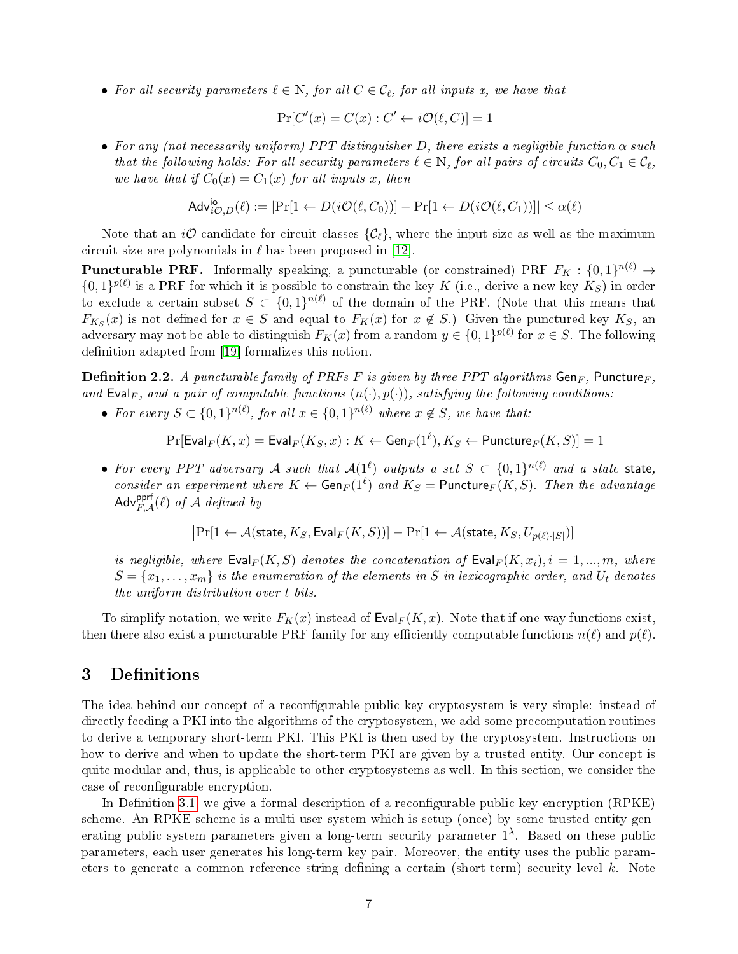• For all security parameters  $\ell \in \mathbb{N}$ , for all  $C \in \mathcal{C}_{\ell}$ , for all inputs x, we have that

$$
\Pr[C'(x) = C(x) : C' \leftarrow i\mathcal{O}(\ell, C)] = 1
$$

• For any (not necessarily uniform) PPT distinguisher D, there exists a negligible function  $\alpha$  such that the following holds: For all security parameters  $\ell \in \mathbb{N}$ , for all pairs of circuits  $C_0, C_1 \in \mathcal{C}_{\ell}$ , we have that if  $C_0(x) = C_1(x)$  for all inputs x, then

$$
\mathsf{Adv}_{i\mathcal{O},D}^{\mathsf{io}}(\ell) := |\mathrm{Pr}[1 \leftarrow D(i\mathcal{O}(\ell, C_0))] - \mathrm{Pr}[1 \leftarrow D(i\mathcal{O}(\ell, C_1))]|\leq \alpha(\ell)
$$

Note that an iO candidate for circuit classes  $\{\mathcal{C}_{\ell}\}\,$ , where the input size as well as the maximum circuit size are polynomials in  $\ell$  has been proposed in [\[12\]](#page-24-7).

 ${\bf Punctural}$   ${\bf PRF.}$  Informally speaking, a puncturable (or constrained)  ${\rm PRF}$   $F_K: \{0,1\}^{n(\ell)} \rightarrow$  $\{0,1\}^{p(\ell)}$  is a PRF for which it is possible to constrain the key K (i.e., derive a new key  $K_S$ ) in order to exclude a certain subset  $S \subset \{0,1\}^{n(\ell)}$  of the domain of the PRF. (Note that this means that  $F_{K_S}(x)$  is not defined for  $x \in S$  and equal to  $F_K(x)$  for  $x \notin S$ .) Given the punctured key  $K_S$ , an adversary may not be able to distinguish  $F_K(x)$  from a random  $y\in\{0,1\}^{p(\ell)}$  for  $x\in S.$  The following definition adapted from [\[19\]](#page-25-5) formalizes this notion.

**Definition 2.2.** A puncturable family of PRFs F is given by three PPT algorithms  $Gen_F$ , Puncture<sub>F</sub>, and Eval<sub>F</sub>, and a pair of computable functions  $(n(\cdot), p(\cdot))$ , satisfying the following conditions:

• For every  $S \subset \{0,1\}^{n(\ell)}$ , for all  $x \in \{0,1\}^{n(\ell)}$  where  $x \notin S$ , we have that:

$$
\Pr[\mathsf{Eval}_F(K, x) = \mathsf{Eval}_F(K_S, x): K \leftarrow \mathsf{Gen}_F(1^{\ell}), K_S \leftarrow \mathsf{Puncture}_F(K, S)] = 1
$$

• For every PPT adversary A such that  $\mathcal{A}(1^{\ell})$  outputs a set  $S \subset \{0,1\}^{n(\ell)}$  and a state state, consider an experiment where  $K \leftarrow$  Gen $_F(1^{\ell})$  and  $K_S$  = Puncture $_F(K, S)$ . Then the advantage  $\mathsf{Adv}_{F,\mathcal{A}}^{\mathsf{pprf}}(\ell)$  of  $\mathcal A$  defined by

$$
|\Pr[1 \leftarrow \mathcal{A}(\text{state}, K_S, \text{Eval}_F(K, S))] - \Pr[1 \leftarrow \mathcal{A}(\text{state}, K_S, U_{p(\ell) \cdot |S|})]
$$

is negligible, where  $\textsf{Eval}_F(K, S)$  denotes the concatenation of  $\textsf{Eval}_F(K, x_i), i = 1, ..., m$ , where  $S = \{x_1, \ldots, x_m\}$  is the enumeration of the elements in S in lexicographic order, and  $U_t$  denotes the uniform distribution over t bits.

To simplify notation, we write  $F_K(x)$  instead of  $\textsf{Eval}_F (K, x)$ . Note that if one-way functions exist, then there also exist a puncturable PRF family for any efficiently computable functions  $n(\ell)$  and  $p(\ell)$ .

## <span id="page-6-0"></span>3 Definitions

The idea behind our concept of a reconfigurable public key cryptosystem is very simple: instead of directly feeding a PKI into the algorithms of the cryptosystem, we add some precomputation routines to derive a temporary short-term PKI. This PKI is then used by the cryptosystem. Instructions on how to derive and when to update the short-term PKI are given by a trusted entity. Our concept is quite modular and, thus, is applicable to other cryptosystems as well. In this section, we consider the case of reconfigurable encryption.

In Definition [3.1,](#page-7-0) we give a formal description of a reconfigurable public key encryption  $(RPKE)$ scheme. An RPKE scheme is a multi-user system which is setup (once) by some trusted entity generating public system parameters given a long-term security parameter  $1^{\lambda}$ . Based on these public parameters, each user generates his long-term key pair. Moreover, the entity uses the public parameters to generate a common reference string defining a certain (short-term) security level  $k$ . Note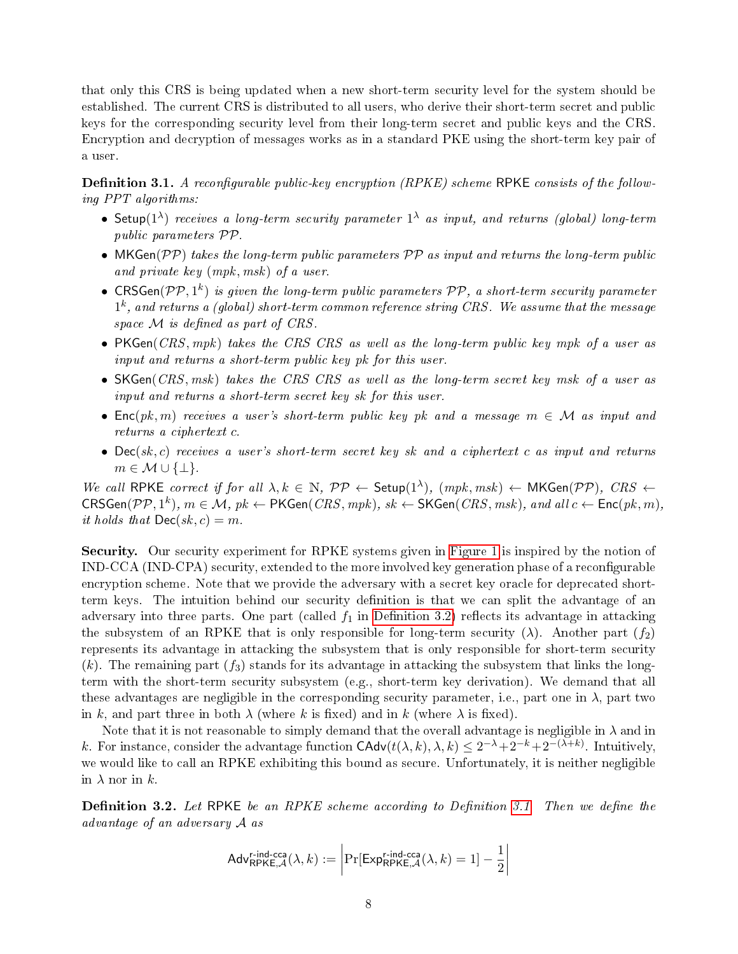that only this CRS is being updated when a new short-term security level for the system should be established. The current CRS is distributed to all users, who derive their short-term secret and public keys for the corresponding security level from their long-term secret and public keys and the CRS. Encryption and decryption of messages works as in a standard PKE using the short-term key pair of a user.

<span id="page-7-0"></span>**Definition 3.1.** A reconfigurable public-key encryption (RPKE) scheme RPKE consists of the following PPT algorithms:

- Setup( $1^{\lambda}$ ) receives a long-term security parameter  $1^{\lambda}$  as input, and returns (global) long-term public parameters PP.
- MKGen( $PP$ ) takes the long-term public parameters  $PP$  as input and returns the long-term public and private key (mpk, msk) of a user.
- CRSGen(PP,  $1^k$ ) is given the long-term public parameters PP, a short-term security parameter  $1^k$ , and returns a (global) short-term common reference string CRS. We assume that the message space  $\mathcal M$  is defined as part of CRS.
- PKGen(CRS, mpk) takes the CRS CRS as well as the long-term public key mpk of a user as input and returns a short-term public key pk for this user.
- SKGen(CRS, msk) takes the CRS CRS as well as the long-term secret key msk of a user as input and returns a short-term secret key sk for this user.
- Enc $(pk, m)$  receives a user's short-term public key pk and a message  $m \in \mathcal{M}$  as input and returns a ciphertext c.
- $Dec(sk, c)$  receives a user's short-term secret key sk and a ciphertext c as input and returns  $m \in \mathcal{M} \cup \{\perp\}.$

We call RPKE correct if for all  $\lambda, k \in \mathbb{N}$ ,  $\mathcal{PP} \leftarrow$  Setup $(1^{\lambda})$ ,  $(mpk, msk) \leftarrow \mathsf{MKGen}(\mathcal{PP})$ ,  $CRS \leftarrow$  $CRSGen(\mathcal{PP}, 1^k), m \in \mathcal{M}, pk \leftarrow \mathsf{PKGen}(CRS, mpk), sk \leftarrow \mathsf{SKGen}(CRS, msk), and all c \leftarrow \mathsf{Enc}(pk, m),$ it holds that  $\mathsf{Dec}(sk, c) = m$ .

Security. Our security experiment for RPKE systems given in [Figure 1](#page-8-0) is inspired by the notion of IND-CCA (IND-CPA) security, extended to the more involved key generation phase of a reconfigurable encryption scheme. Note that we provide the adversary with a secret key oracle for deprecated shortterm keys. The intuition behind our security definition is that we can split the advantage of an adversary into three parts. One part (called  $f_1$  in Definition 3.2) reflects its advantage in attacking the subsystem of an RPKE that is only responsible for long-term security ( $\lambda$ ). Another part ( $f_2$ ) represents its advantage in attacking the subsystem that is only responsible for short-term security  $(k)$ . The remaining part  $(f_3)$  stands for its advantage in attacking the subsystem that links the longterm with the short-term security subsystem (e.g., short-term key derivation). We demand that all these advantages are negligible in the corresponding security parameter, i.e., part one in  $\lambda$ , part two in k, and part three in both  $\lambda$  (where k is fixed) and in k (where  $\lambda$  is fixed).

Note that it is not reasonable to simply demand that the overall advantage is negligible in  $\lambda$  and in k. For instance, consider the advantage function  $\mathsf{CAdv}(t(\lambda, k), \lambda, k) \leq 2^{-\lambda} + 2^{-k} + 2^{-(\lambda + k)}$ . Intuitively, we would like to call an RPKE exhibiting this bound as secure. Unfortunately, it is neither negligible in  $\lambda$  nor in k.

<span id="page-7-1"></span>**Definition 3.2.** Let RPKE be an RPKE scheme according to Definition [3.1.](#page-7-0) Then we define the advantage of an adversary A as

$$
\mathsf{Adv}_{\mathsf{RPKE},\mathcal{A}}^{\mathsf{r}\text{-}\mathsf{ind}\text{-}\mathsf{cca}}(\lambda,k) := \left|\Pr[\mathsf{Exp}_{\mathsf{RPKE},\mathcal{A}}^{\mathsf{r}\text{-}\mathsf{ind}\text{-}\mathsf{cca}}(\lambda,k) = 1] - \frac{1}{2}\right|
$$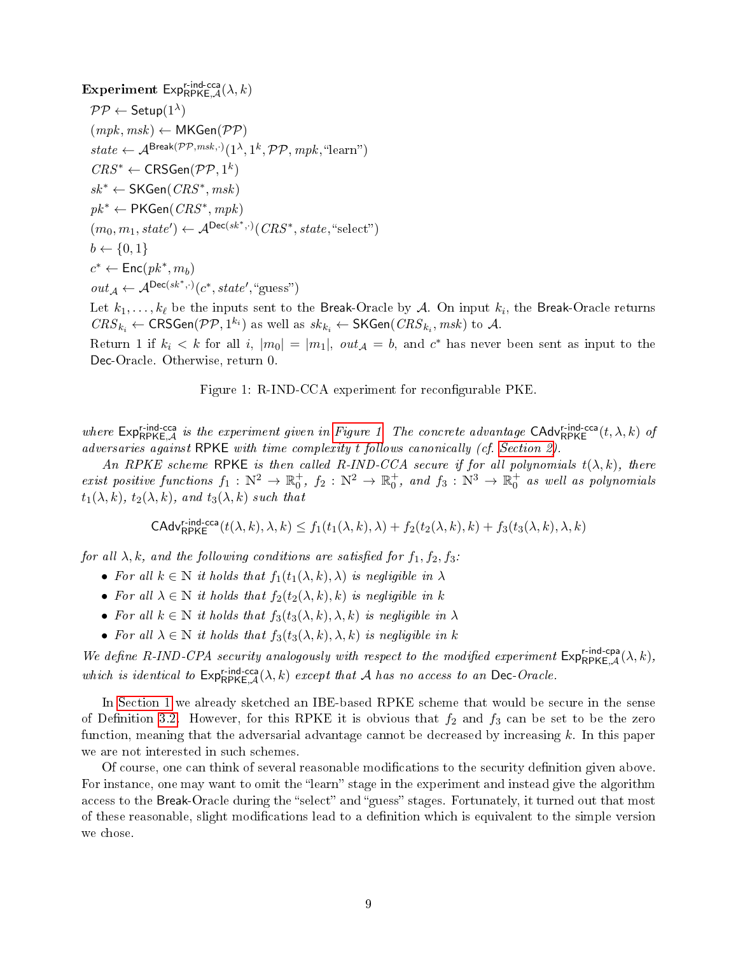<span id="page-8-0"></span> ${\bf Experiment ~Exp}_{\sf RPKE, \mathcal{A}}^{\sf r-ind\text{-}cca}(\lambda, k)$  $\mathcal{PP} \leftarrow \mathsf{Setup}(1^\lambda)$  $(mpk, msk) \leftarrow \mathsf{MKGen}(\mathcal{PP})$ state  $\leftarrow \mathcal{A}^{\text{Break}(\mathcal{PP}, \text{msk}, \cdot)}(1^{\lambda}, 1^k, \mathcal{PP}, \text{mpk}, \text{``learn''})$  $CRS^* \leftarrow \textsf{CRSGen}(\mathcal{PP}, 1^k)$  $sk^* \leftarrow \mathsf{SKGen}(\mathit{CRS}^*, \mathit{msk})$  $pk^* \leftarrow \text{PKGen}(CRS^*, mpk)$  $(m_0, m_1, state') \leftarrow \mathcal{A}^{\mathsf{Dec}(sk^*,\cdot)}(CRS^*, state, "select")$  $b \leftarrow \{0, 1\}$  $c^* \leftarrow \mathsf{Enc}(pk^*, m_b)$  $out_A \leftarrow \mathcal{A}^{\mathsf{Dec}(sk^*,\cdot)}(c^*, state', \text{``guess''})$ 

Let  $k_1,\ldots,k_\ell$  be the inputs sent to the Break-Oracle by  ${\mathcal A}$ . On input  $k_i,$  the Break-Oracle returns  $CRS_{k_i} \leftarrow \text{CRSGen}(\mathcal{PP}, 1^{k_i})$  as well as  $sk_{k_i} \leftarrow \text{SKGen}(CRS_{k_i}, msk)$  to A.

Return 1 if  $k_i < k$  for all i,  $|m_0| = |m_1|$ ,  $out_A = b$ , and  $c^*$  has never been sent as input to the Dec-Oracle. Otherwise, return 0.

Figure 1: R-IND-CCA experiment for reconfigurable PKE.

where  $\mathsf{Exp}_{\mathsf{RPKE},\mathcal{A}}^{\mathsf{r}\text{-}\mathsf{ind}\text{-}\mathsf{cca}}$  is the experiment given in [Figure 1.](#page-8-0) The concrete advantage  $\mathsf{CAdv}_{\mathsf{RPKE}}^{\mathsf{r}\text{-}\mathsf{ind}\text{-}\mathsf{cca}}(t,\lambda,k)$  of adversaries against RPKE with time complexity t follows canonically (cf. [Section 2\)](#page-4-0).

An RPKE scheme RPKE is then called R-IND-CCA secure if for all polynomials  $t(\lambda, k)$ , there exist positive functions  $f_1: \mathbb{N}^2 \to \mathbb{R}_0^+$ ,  $f_2: \mathbb{N}^2 \to \mathbb{R}_0^+$ , and  $f_3: \mathbb{N}^3 \to \mathbb{R}_0^+$  as well as polynomials  $t_1(\lambda, k)$ ,  $t_2(\lambda, k)$ , and  $t_3(\lambda, k)$  such that

 $(\lambda, k)$ , and  $t_3(\lambda, k)$  such that<br>CAdv<sup>r-ind-cca</sup> $(t(\lambda, k), \lambda, k) \leq f_1(t_1(\lambda, k), \lambda) + f_2(t_2(\lambda, k), k) + f_3(t_3(\lambda, k), \lambda, k)$ 

for all  $\lambda, k$ , and the following conditions are satisfied for  $f_1, f_2, f_3$ :

- For all  $k \in \mathbb{N}$  it holds that  $f_1(t_1(\lambda, k), \lambda)$  is negligible in  $\lambda$
- For all  $\lambda \in \mathbb{N}$  it holds that  $f_2(t_2(\lambda, k), k)$  is negligible in k
- For all  $k \in \mathbb{N}$  it holds that  $f_3(t_3(\lambda, k), \lambda, k)$  is negligible in  $\lambda$
- For all  $\lambda \in \mathbb{N}$  it holds that  $f_3(t_3(\lambda, k), \lambda, k)$  is negligible in k

• For all  $\lambda \in \mathbb{N}$  it holds that  $f_3(t_3(\lambda, k), \lambda, k)$  is negligible in k<br>We define R-IND-CPA security analogously with respect to the modified experiment  $\mathsf{Exp}_{\mathsf{RPKE},\mathcal{A}}^{\mathsf{r}\text{-ind-cpa}}(\lambda, k)$ ,<br>which is identical to which is identical to  $\mathsf{Exp}_{\mathsf{RPRE},\mathcal{A}}^{\mathsf{r}\text{-}\mathsf{ind}\text{-}\mathsf{cca}}(\lambda, k)$  except that A has no access to an Dec-Oracle.

In [Section 1](#page-0-0) we already sketched an IBE-based RPKE scheme that would be secure in the sense of Definition [3.2.](#page-7-1) However, for this RPKE it is obvious that  $f_2$  and  $f_3$  can be set to be the zero function, meaning that the adversarial advantage cannot be decreased by increasing  $k$ . In this paper we are not interested in such schemes.

Of course, one can think of several reasonable modifications to the security definition given above. For instance, one may want to omit the "learn" stage in the experiment and instead give the algorithm access to the Break-Oracle during the "select" and "guess" stages. Fortunately, it turned out that most of these reasonable, slight modifications lead to a definition which is equivalent to the simple version we chose.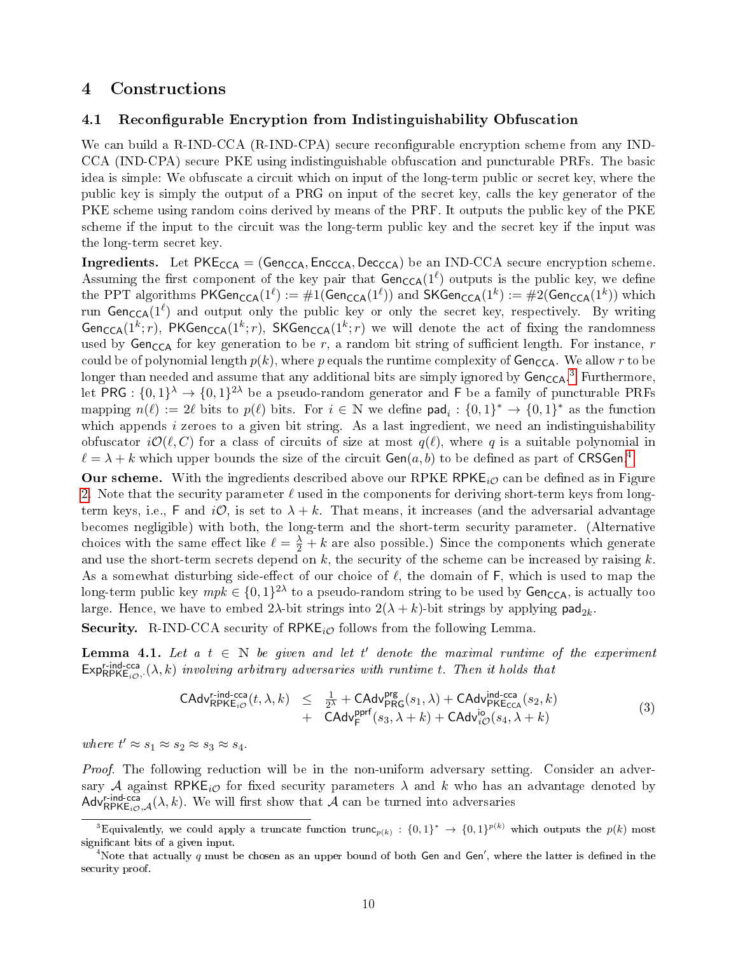# <span id="page-9-0"></span>4 Constructions

## <span id="page-9-1"></span>4.1 Reconfigurable Encryption from Indistinguishability Obfuscation

We can build a R-IND-CCA (R-IND-CPA) secure reconfigurable encryption scheme from any IND-CCA (IND-CPA) secure PKE using indistinguishable obfuscation and puncturable PRFs. The basic idea is simple: We obfuscate a circuit which on input of the long-term public or secret key, where the public key is simply the output of a PRG on input of the secret key, calls the key generator of the PKE scheme using random coins derived by means of the PRF. It outputs the public key of the PKE scheme if the input to the circuit was the long-term public key and the secret key if the input was the long-term secret key.

**Ingredients.** Let  $PKE_{CCA} = (Gen_{CCA}, Enc_{CCA}, Dec_{CCA})$  be an IND-CCA secure encryption scheme. Assuming the first component of the key pair that  $\mathsf{Gen_{CCA}}(1^\ell)$  outputs is the public key, we define the <code>PPT</code> algorithms <code>PKGen<sub>CCA( $1^\ell$ )</code> :=  $\#1(\mathsf{Gen_{CCA}}(1^\ell))$  and <code>SKGen<sub>CCA( $1^k$ )</code> :=  $\#2(\mathsf{Gen_{CCA}}(1^k))$  which</code></sub></code></sub> run  $\mathsf{Gen_{CCA}}(1^\ell)$  and output only the public key or only the secret key, respectively. By writing  $\mathsf{Gen_{CCA}}(1^k; r)$ , PKGen<sub>CCA</sub> $(1^k; r)$ , SKGen<sub>CCA</sub> $(1^k; r)$  we will denote the act of fixing the randomness used by Gen<sub>CCA</sub> for key generation to be r, a random bit string of sufficient length. For instance, r could be of polynomial length  $p(k)$ , where p equals the runtime complexity of Gen<sub>CCA</sub>. We allow r to be longer than needed and assume that any additional bits are simply ignored by  $\mathsf{Gen_{CCA}}^3$  $\mathsf{Gen_{CCA}}^3$  Furthermore, let PRG :  $\{0,1\}^{\lambda} \to \{0,1\}^{2\lambda}$  be a pseudo-random generator and F be a family of puncturable PRFs mapping  $n(\ell) := 2\ell$  bits to  $p(\ell)$  bits. For  $i \in \mathbb{N}$  we define  $\mathsf{pad}_i : \{0,1\}^* \to \{0,1\}^*$  as the function which appends  $i$  zeroes to a given bit string. As a last ingredient, we need an indistinguishability obfuscator  $i\mathcal{O}(\ell, C)$  for a class of circuits of size at most  $q(\ell)$ , where q is a suitable polynomial in  $\ell = \lambda + k$  which upper bounds the size of the circuit  $Gen(a, b)$  to be defined as part of CRSGen.<sup>[4](#page-9-3)</sup>

Our scheme. With the ingredients described above our RPKE RPKE<sub>iO</sub> can be defined as in Figure [2.](#page-10-0) Note that the security parameter  $\ell$  used in the components for deriving short-term keys from longterm keys, i.e., F and iO, is set to  $\lambda + k$ . That means, it increases (and the adversarial advantage becomes negligible) with both, the long-term and the short-term security parameter. (Alternative choices with the same effect like  $\ell = \frac{\lambda}{2} + k$  are also possible.) Since the components which generate and use the short-term secrets depend on  $k$ , the security of the scheme can be increased by raising  $k$ . As a somewhat disturbing side-effect of our choice of  $\ell$ , the domain of F, which is used to map the long-term public key  $mpk\in\{0,1\}^{2\lambda}$  to a pseudo-random string to be used by  $\mathsf{Gen_{CCA}},$  is actually too large. Hence, we have to embed  $2\lambda$ -bit strings into  $2(\lambda + k)$ -bit strings by applying  $\mathsf{pad}_{2k}$ .

Security. R-IND-CCA security of RPKE<sub>i</sub> $\varphi$  follows from the following Lemma.

**Lemma 4.1.** Let a  $t \in \mathbb{N}$  be given and let t' denote the maximal runtime of the experiment **Lemma 4.1.** Let  $a$   $t \in \mathbb{N}$  be given and let  $t'$  denote the maximal runtime  $\epsilon$ <br>Expr-ind-cca  $(\lambda, k)$  involving arbitrary adversaries with runtime  $t$ . Then it holds that<br>CAdv $\Pr_{\text{RPKE}_{i\mathcal{O}}}^{r\text{-ind-cca}}(t, \lambda, k) \leq \frac$ 

<span id="page-9-4"></span>
$$
\begin{array}{rcl}\n\mathsf{CAdv}_{\mathsf{RPKE}_{i\mathcal{O}}^{\mathsf{r}\text{-}\mathsf{ind}\text{-}\mathsf{cca}}(t,\lambda,k) & \leq & \frac{1}{2^{\lambda}} + \mathsf{CAdv}_{\mathsf{PRG}}^{\mathsf{prg}}(s_1,\lambda) + \mathsf{CAdv}_{\mathsf{PKE}_{\mathsf{CCA}}^{\mathsf{ind}\text{-}\mathsf{cca}}(s_2,k) \\
& & + \quad \mathsf{CAdv}_{\mathsf{F}}^{\mathsf{pprf}}(s_3,\lambda+k) + \mathsf{CAdv}_{i\mathcal{O}}^{\mathsf{io}}(s_4,\lambda+k)\n\end{array} \tag{3}
$$

where  $t' \approx s_1 \approx s_2 \approx s_3 \approx s_4$ .

Proof. The following reduction will be in the non-uniform adversary setting. Consider an adversary A against RPKE<sub>iO</sub> for fixed security parameters  $\lambda$  and k who has an advantage denoted by Adv<sup>r-ind-cca</sup>,  $\mathcal{A}(\lambda, k)$ . We will first show that A can be turned into adversaries

<span id="page-9-2"></span><sup>&</sup>lt;sup>3</sup>Equivalently, we could apply a truncate function trunc<sub>p(k)</sub> :  $\{0,1\}^*$   $\rightarrow$   $\{0,1\}^{p(k)}$  which outputs the p(k) most significant bits of a given input.

<span id="page-9-3"></span><sup>&</sup>lt;sup>4</sup>Note that actually q must be chosen as an upper bound of both Gen and Gen', where the latter is defined in the security proof.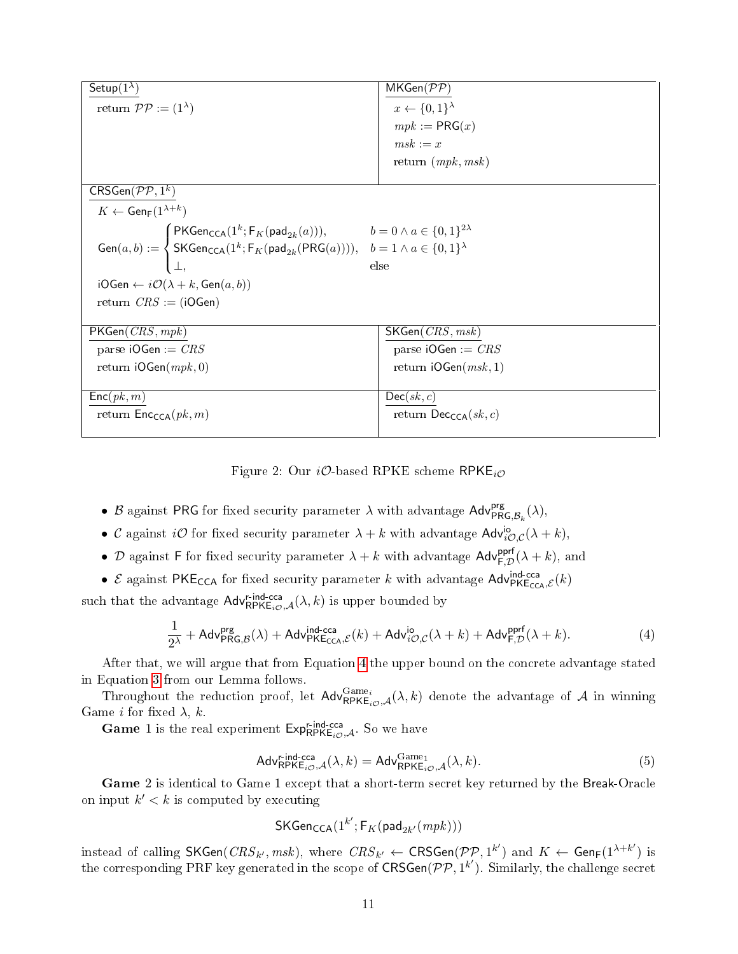<span id="page-10-0"></span>

| Setup $(1^{\lambda})$                                                                                                                                                                                                                                                                            | $MKGen(\mathcal{PP})$              |
|--------------------------------------------------------------------------------------------------------------------------------------------------------------------------------------------------------------------------------------------------------------------------------------------------|------------------------------------|
| return $\mathcal{PP} := (1^{\lambda})$                                                                                                                                                                                                                                                           | $x \leftarrow \{0,1\}^{\lambda}$   |
|                                                                                                                                                                                                                                                                                                  | $mpk := PRG(x)$                    |
|                                                                                                                                                                                                                                                                                                  | $msk := x$                         |
|                                                                                                                                                                                                                                                                                                  | return $(mpk, msk)$                |
|                                                                                                                                                                                                                                                                                                  |                                    |
| $CRSGen(\mathcal{PP}, 1^k)$                                                                                                                                                                                                                                                                      |                                    |
| $K \leftarrow$ Gen <sub>F</sub> $(1^{\lambda+k})$                                                                                                                                                                                                                                                |                                    |
|                                                                                                                                                                                                                                                                                                  |                                    |
|                                                                                                                                                                                                                                                                                                  |                                    |
| $\textsf{Gen}(a,b):=\begin{cases} \textsf{PKGen}_{\textsf{CCA}}(1^k;\mathsf{F}_K(\textsf{pad}_{2k}(a))), & b=0 \wedge a\in\{0,1\}^{2\lambda} \\ \textsf{SKGen}_{\textsf{CCA}}(1^k;\mathsf{F}_K(\textsf{pad}_{2k}(\textsf{PRG}(a)))) , & b=1 \wedge a\in\{0,1\}^{\lambda} \\ \bot, & \end{cases}$ |                                    |
| $iOGen \leftarrow iO(\lambda + k, Gen(a, b))$                                                                                                                                                                                                                                                    |                                    |
| return $CRS := (iOGen)$                                                                                                                                                                                                                                                                          |                                    |
|                                                                                                                                                                                                                                                                                                  |                                    |
| PKGen(CRS, mpk)                                                                                                                                                                                                                                                                                  | SKGen(CRS, msk)                    |
| parse iOGen := $CRS$                                                                                                                                                                                                                                                                             | parse iOGen := $CRS$               |
| return $i$ OGen $(mpk, 0)$                                                                                                                                                                                                                                                                       | return $i$ OGen $(msk, 1)$         |
|                                                                                                                                                                                                                                                                                                  |                                    |
| Enc(pk, m)                                                                                                                                                                                                                                                                                       | Dec(sk, c)                         |
| return $\mathsf{Enc}_{\mathsf{CCA}}(pk, m)$                                                                                                                                                                                                                                                      | return $\mathsf{Dec_{CCA}}(sk, c)$ |
|                                                                                                                                                                                                                                                                                                  |                                    |

Figure 2: Our  $i\mathcal{O}$ -based RPKE scheme RPKE<sub>i $\mathcal{O}$ </sub>

- B against PRG for fixed security parameter  $\lambda$  with advantage  $\mathsf{Adv}_{PRG, B_k}^{prg}(\lambda)$ ,
- C against iO for fixed security parameter  $\lambda + k$  with advantage  $\mathsf{Adv}_{i\mathcal{O},\mathcal{C}}^{io}(\lambda + k)$ ,
- D against F for fixed security parameter  $\lambda + k$  with advantage  $\mathsf{Adv}_{\mathsf{F},\mathcal{D}}^{\mathsf{pprf}}(\lambda + k)$ , and
- $\mathcal E$  against PKE<sub>CCA</sub> for fixed security parameter k with advantage Adv<sup>ind-cca</sup>  $\mathcal E(k)$

such that the advantage  $\mathsf{Adv}_{\mathsf{RPKE}_{i\mathcal{O}},\mathcal{A}}^{r\text{-ind-cca}}(\lambda, k)$  is upper bounded by

<span id="page-10-1"></span>
$$
\frac{1}{2^{\lambda}} + \mathsf{Adv}_{\mathsf{PRG},\mathcal{B}}^{\mathsf{prg}}(\lambda) + \mathsf{Adv}_{\mathsf{PKE}_{\mathsf{CCA},\mathcal{E}}^{\mathsf{ind}\text{-}\mathsf{cca}}(k) + \mathsf{Adv}_{i\mathcal{O},\mathcal{C}}^{\mathsf{io}}(\lambda + k) + \mathsf{Adv}_{\mathsf{F},\mathcal{D}}^{\mathsf{pprf}}(\lambda + k). \tag{4}
$$

After that, we will argue that from Equation [4](#page-10-1) the upper bound on the concrete advantage stated in Equation [3](#page-9-4) from our Lemma follows.

Throughout the reduction proof, let  $\mathsf{Adv}_{\mathsf{RPKE}_{i\mathcal{O}},\mathcal{A}}^{Game_i}(\lambda,k)$  denote the advantage of  $\mathcal A$  in winning Game *i* for fixed  $\lambda$ , *k*.

**Game** 1 is the real experiment  $Exp^{\text{r-ind-cca}}_{RPKE_{i}\mathcal{O},\mathcal{A}}$ . So we have

<span id="page-10-2"></span>
$$
\mathsf{Adv}_{\mathsf{RPKE}_{i\mathcal{O}},\mathcal{A}}^{\mathsf{r}\text{-}\mathsf{ind}\text{-}\mathsf{cca}}(\lambda,k) = \mathsf{Adv}_{\mathsf{RPKE}_{i\mathcal{O}},\mathcal{A}}^{\mathsf{Game}_1}(\lambda,k). \tag{5}
$$

Game 2 is identical to Game 1 except that a short-term secret key returned by the Break-Oracle on input  $k' < k$  is computed by executing

 $\mathsf{SKGen}_\mathsf{CCA}(1^{k'};\mathsf{F}_K(\mathsf{pad}_{2k'}(\mathit{mpk})))$ 

instead of calling  $\mathsf{SKGen}(\mathit{CRS}_{k'},\mathit{msk}),$  where  $\mathit{CRS}_{k'}\leftarrow \mathsf{CRSGen}(\mathcal{PP},1^{k'})$  and  $K\leftarrow \mathsf{Gen}_{\mathsf{F}}(1^{\lambda+k'})$  is the corresponding PRF key generated in the scope of CRSGen $({\cal PP},1^{k'})$ . Similarly, the challenge secret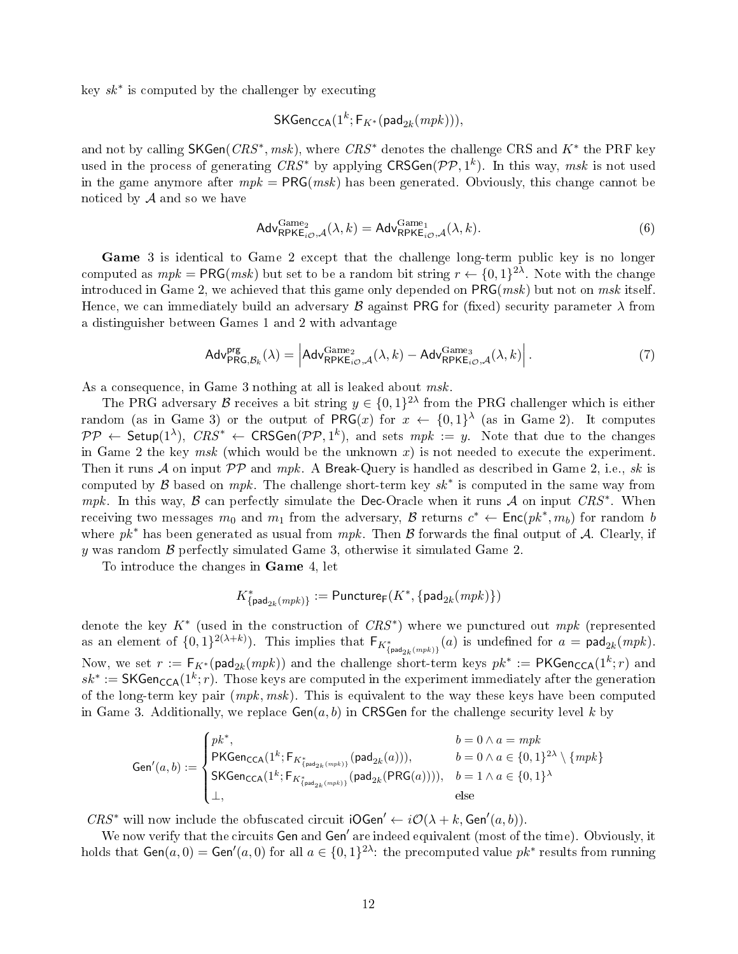key  $sk^*$  is computed by the challenger by executing

$$
\mathsf{SKGen}_\mathsf{CCA}(1^k; \mathsf{F}_{K^*}(\mathsf{pad}_{2k}(mpk))),
$$

and not by calling  $\mathsf{SKGen}(\mathit{CRS^*},\mathit{msk}),$  where  $\mathit{CRS^*}$  denotes the challenge  $\mathit{CRS}$  and  $K^*$  the  $\mathit{PRF}$  key used in the process of generating  $CRS^*$  by applying  $CRSGen(\mathcal{PP}, 1^k)$ . In this way, msk is not used in the game anymore after  $mpk = PRG(msk)$  has been generated. Obviously, this change cannot be noticed by  $A$  and so we have

$$
\mathsf{Adv}_{\mathsf{RPKE}_{i\mathcal{O}},\mathcal{A}}^{\mathsf{Game}_2}(\lambda,k) = \mathsf{Adv}_{\mathsf{RPKE}_{i\mathcal{O}},\mathcal{A}}^{\mathsf{Game}_1}(\lambda,k). \tag{6}
$$

Game 3 is identical to Game 2 except that the challenge long-term public key is no longer computed as  $mpk = \textsf{PRG}(msk)$  but set to be a random bit string  $r \leftarrow \{0,1\}^{2\lambda}$ . Note with the change introduced in Game 2, we achieved that this game only depended on  $PRG(msk)$  but not on msk itself. Hence, we can immediately build an adversary  $\beta$  against PRG for (fixed) security parameter  $\lambda$  from a distinguisher between Games 1 and 2 with advantage

$$
\mathsf{Adv}_{\mathsf{PRG},\mathcal{B}_k}^{\mathsf{prg}}(\lambda) = \left| \mathsf{Adv}_{\mathsf{RPKE}_{i\mathcal{O}},\mathcal{A}}^{\mathsf{Game}_2}(\lambda,k) - \mathsf{Adv}_{\mathsf{RPKE}_{i\mathcal{O}},\mathcal{A}}^{\mathsf{Game}_3}(\lambda,k) \right|.
$$
 (7)

As a consequence, in Game 3 nothing at all is leaked about msk.

The PRG adversary B receives a bit string  $y \in \{0,1\}^{2\lambda}$  from the PRG challenger which is either random (as in Game 3) or the output of  $PRG(x)$  for  $x \leftarrow \{0,1\}^{\lambda}$  (as in Game 2). It computes  $\mathcal{PP} \leftarrow \mathsf{Setup}(1^{\lambda}), \; \mathit{CRS}^* \leftarrow \mathsf{CRSGen}(\mathcal{PP},1^k), \text{ and sets } \mathit{mpk} := y.$  Note that due to the changes in Game 2 the key msk (which would be the unknown x) is not needed to execute the experiment. Then it runs A on input  $\mathcal{PP}$  and  $mpk$ . A Break-Query is handled as described in Game 2, i.e., sk is computed by B based on  $mpk$ . The challenge short-term key  $sk^*$  is computed in the same way from mpk. In this way, B can perfectly simulate the Dec-Oracle when it runs A on input  $CRS^*$ . When receiving two messages  $m_0$  and  $m_1$  from the adversary,  $\mathcal B$  returns  $c^* \leftarrow \mathsf{Enc}(pk^*, m_b)$  for random  $b$ where  $pk^*$  has been generated as usual from  $mpk$ . Then B forwards the final output of A. Clearly, if y was random  $\beta$  perfectly simulated Game 3, otherwise it simulated Game 2.

To introduce the changes in Game 4, let

$$
K_{\{\mathsf{pad}_{2k}(mpk)\}}^*:=\mathsf{Puncture}_{\mathsf{F}}(K^*,\{\mathsf{pad}_{2k}(mpk)\})
$$

denote the key  $K^*$  (used in the construction of  $CRS^*$ ) where we punctured out  $mpk$  (represented as an element of  $\{0,1\}^{2(\lambda+k)}$ ). This implies that  $\mathsf{F}_{K^*_{\{\text{pad}_{2k}(mpk)\}}}(a)$  is undefined for  $a = \mathsf{pad}_{2k}(mpk)$ . Now, we set  $r:=\mathsf{F}_{K^*}(\mathsf{pad}_{2k}(mpk))$  and the challenge short-term keys  $pk^*:=\mathsf{PKGen}_\mathsf{CCA}(1^k;r)$  and  $sk^* := {\sf SKGen}_{\sf CCA}(1^k; r)$ . Those keys are computed in the experiment immediately after the generation of the long-term key pair  $(mpk, msk)$ . This is equivalent to the way these keys have been computed in Game 3. Additionally, we replace  $Gen(a, b)$  in CRSGen for the challenge security level k by

$$
\text{Gen}'(a,b) := \begin{cases} pk^*, & b=0 \wedge a=mpk \\ \text{PKGen}_{\text{CCA}}(1^k; \text{F}_{K^*_{\{\text{pad}_{2k}(mpk)\}}}( \text{pad}_{2k}(a))), & b=0 \wedge a \in \{0,1\}^{2\lambda} \setminus \{mpk\} \\ \text{SKGen}_{\text{CCA}}(1^k; \text{F}_{K^*_{\{\text{pad}_{2k}(mpk)\}}}( \text{pad}_{2k}(\text{PRG}(a)) )), & b=1 \wedge a \in \{0,1\}^{\lambda} \\ \perp, & \text{else} \end{cases}
$$

CRS<sup>\*</sup> will now include the obfuscated circuit  $iOGen' \leftarrow iO(\lambda + k, Gen'(a, b)).$ 

We now verify that the circuits Gen and Gen' are indeed equivalent (most of the time). Obviously, it holds that  $\mathsf{Gen}(a,0) = \mathsf{Gen}'(a,0)$  for all  $a \in \{0,1\}^{2\lambda}$ : the precomputed value  $pk^*$  results from running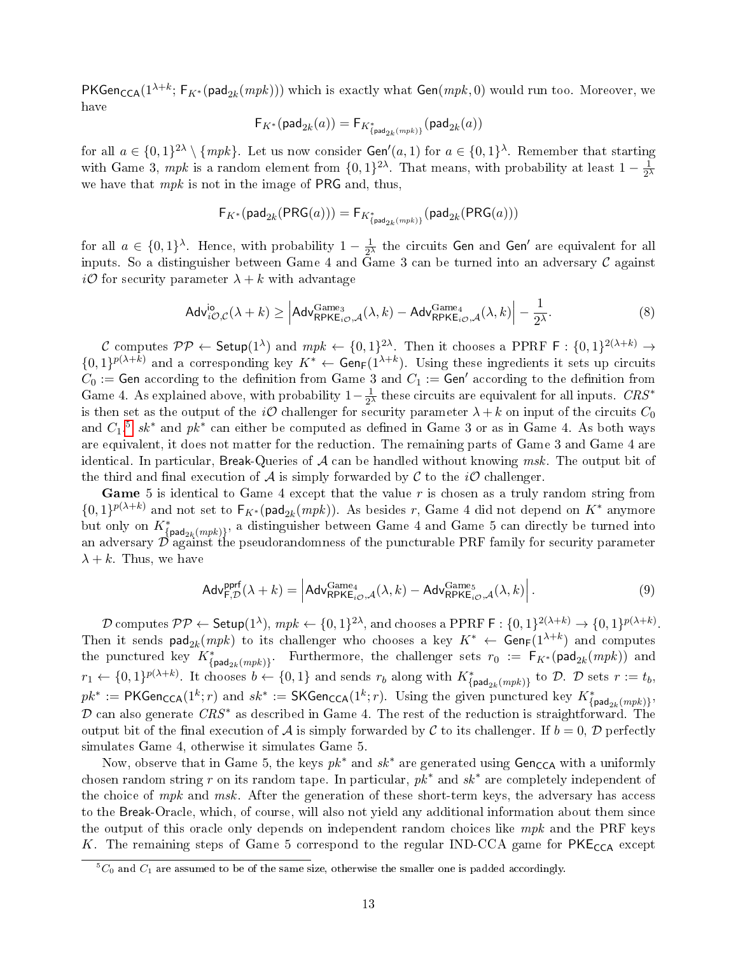PKGen<sub>CCA</sub>(1<sup> $\lambda+k$ </sup>; F<sub>K\*</sub>(pad<sub>2k</sub>(mpk))) which is exactly what Gen(mpk,0) would run too. Moreover, we have

$$
\mathsf{F}_{K^*}(\mathsf{pad}_{2k}(a)) = \mathsf{F}_{K^*_{\{\mathsf{pad}_{2k}(mpk)\}}}(\mathsf{pad}_{2k}(a))
$$

for all  $a \in \{0,1\}^{2\lambda} \setminus \{mpk\}$ . Let us now consider  $Gen'(a,1)$  for  $a \in \{0,1\}^{\lambda}$ . Remember that starting with Game 3, mpk is a random element from  $\{0,1\}^{2\lambda}$ . That means, with probability at least  $1-\frac{1}{2\lambda}$  $2^{\lambda}$ we have that  $mpk$  is not in the image of PRG and, thus,

$$
\mathsf{F}_{K^*}(\mathsf{pad}_{2k}(\mathsf{PRG}(a))) = \mathsf{F}_{K^*_{\{\mathsf{pad}_{2k}(mpk)\}}}(\mathsf{pad}_{2k}(\mathsf{PRG}(a)))
$$

for all  $a \in \{0,1\}^{\lambda}$ . Hence, with probability  $1-\frac{1}{2}$  $\frac{1}{2^{\lambda}}$  the circuits **Gen** and **Gen'** are equivalent for all inputs. So a distinguisher between Game 4 and Game 3 can be turned into an adversary  $\mathcal C$  against  $i\mathcal{O}$  for security parameter  $\lambda + k$  with advantage

$$
\mathsf{Adv}_{i\mathcal{O},\mathcal{C}}^{i\mathsf{o}}(\lambda+k) \ge \left| \mathsf{Adv}_{\mathsf{RPKE}_{i\mathcal{O}},\mathcal{A}}^{\mathsf{Game}_3}(\lambda,k) - \mathsf{Adv}_{\mathsf{RPKE}_{i\mathcal{O}},\mathcal{A}}^{\mathsf{Game}_4}(\lambda,k) \right| - \frac{1}{2^{\lambda}}.\tag{8}
$$

C computes  $\mathcal{PP} \leftarrow \mathsf{Setup}(1^{\lambda})$  and  $mpk \leftarrow \{0,1\}^{2\lambda}$ . Then it chooses a PPRF F :  $\{0,1\}^{2(\lambda+k)} \rightarrow$  $\{0,1\}^{p(\lambda+k)}$  and a corresponding key  $K^* \leftarrow$  Gen<sub>F</sub>(1<sup> $\lambda+k$ </sup>). Using these ingredients it sets up circuits  $C_0 :=$  Gen according to the definition from Game 3 and  $C_1 :=$  Gen' according to the definition from Game 4. As explained above, with probability  $1-\frac{1}{2}$  $\frac{1}{2^{\lambda}}$  these circuits are equivalent for all inputs.  $CRS^*$ is then set as the output of the iO challenger for security parameter  $\lambda + k$  on input of the circuits  $C_0$ and  $C_1$ .<sup>[5](#page-12-0)</sup>  $sk^*$  and  $pk^*$  can either be computed as defined in Game 3 or as in Game 4. As both ways are equivalent, it does not matter for the reduction. The remaining parts of Game 3 and Game 4 are identical. In particular, Break-Queries of A can be handled without knowing  $msk$ . The output bit of the third and final execution of A is simply forwarded by C to the  $i\mathcal{O}$  challenger.

**Game** 5 is identical to Game 4 except that the value r is chosen as a truly random string from  $\{0,1\}^{p(\lambda+k)}$  and not set to  $\mathsf{F}_{K^*}(\mathsf{pad}_{2k}(mpk))$ . As besides r, Game 4 did not depend on  $K^*$  anymore but only on  $K^*_{\{\text{pad}_{2k}(mpk)\}}$ , a distinguisher between Game 4 and Game 5 can directly be turned into an adversary  $\mathcal D$  against the pseudorandomness of the puncturable PRF family for security parameter  $\lambda + k$ . Thus, we have

$$
\mathsf{Adv}_{\mathsf{F},\mathcal{D}}^{\mathsf{pprf}}(\lambda+k) = \left| \mathsf{Adv}_{\mathsf{RPKE}_{i\mathcal{O}},\mathcal{A}}^{\mathsf{Game}_4}(\lambda,k) - \mathsf{Adv}_{\mathsf{RPKE}_{i\mathcal{O}},\mathcal{A}}^{\mathsf{Game}_5}(\lambda,k) \right|.
$$
 (9)

 $\mathcal D$  computes  $\mathcal{PP} \leftarrow \mathsf{Setup}(1^\lambda),\,mpk \leftarrow \{0,1\}^{2\lambda},\, \text{and chooses a PPRF F}: \{0,1\}^{2(\lambda + k)} \rightarrow \{0,1\}^{p(\lambda + k)}.$ Then it sends  $\mathsf{pad}_{2k}(mpk)$  to its challenger who chooses a key  $K^* \leftarrow \mathsf{Gen}_{\mathsf{F}}(1^{\lambda+k})$  and computes the punctured key  $K^*_{\{\text{pad}_{2k}(mpk)\}}$ . Furthermore, the challenger sets  $r_0 := \mathsf{F}_{K^*}(\text{pad}_{2k}(mpk))$  and  $r_1 \leftarrow \{0,1\}^{p(\lambda+k)}$ . It chooses  $b \leftarrow \{0,1\}$  and sends  $r_b$  along with  $K^*_{\{\text{pad}_{2k}(mpk)\}}$  to  $\mathcal{D}$ .  $\mathcal{D}$  sets  $r := t_b$ ,  $pk^*:=\mathsf{PKGen_{CCA}}(1^k; r)$  and  $sk^*:=\mathsf{SKGen_{CCA}}(1^k; r).$  Using the given punctured key  $K^*_{\{\mathsf{pad}_{2k}(mpk)\}},$  $\mathcal D$  can also generate  $CRS^*$  as described in Game 4. The rest of the reduction is straightforward. The output bit of the final execution of A is simply forwarded by C to its challenger. If  $b = 0$ , D perfectly simulates Game 4, otherwise it simulates Game 5.

Now, observe that in Game 5, the keys  $pk^*$  and  $sk^*$  are generated using  $Gen_{CCA}$  with a uniformly chosen random string r on its random tape. In particular,  $pk^*$  and  $sk^*$  are completely independent of the choice of  $mpk$  and  $msk$ . After the generation of these short-term keys, the adversary has access to the Break-Oracle, which, of course, will also not yield any additional information about them since the output of this oracle only depends on independent random choices like  $mpk$  and the PRF keys K. The remaining steps of Game 5 correspond to the regular IND-CCA game for  $PKE_{CCA}$  except

<span id="page-12-0"></span> $5C_0$  and  $C_1$  are assumed to be of the same size, otherwise the smaller one is padded accordingly.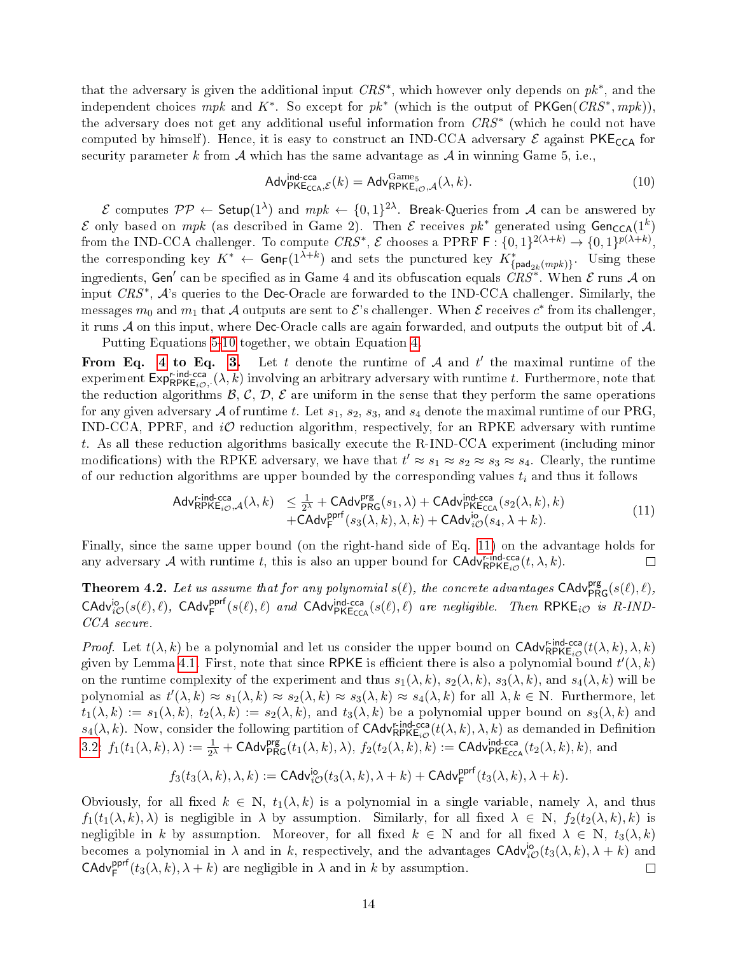that the adversary is given the additional input  $CRS^*$ , which however only depends on  $pk^*$ , and the independent choices  $mpk$  and  $K^*$ . So except for  $pk^*$  (which is the output of PKGen( $CRS^*$ ,  $mpk$ )), the adversary does not get any additional useful information from  $CRS^*$  (which he could not have computed by himself). Hence, it is easy to construct an IND-CCA adversary  $\mathcal E$  against PKE<sub>CCA</sub> for security parameter k from A which has the same advantage as A in winning Game 5, i.e.,

<span id="page-13-0"></span>
$$
\mathsf{Adv}_{\mathsf{PKE_{CCA}},\mathcal{E}}^{\mathsf{ind}\text{-}\mathsf{cca}}(k) = \mathsf{Adv}_{\mathsf{RPEK}_{i\mathcal{O}},\mathcal{A}}^{\mathsf{Game}_5}(\lambda,k). \tag{10}
$$

 $\mathcal E$  computes  $\mathcal {PP}\leftarrow \mathsf{Setup}(1^\lambda)$  and  $mpk\leftarrow \{0,1\}^{2\lambda}$ . Break-Queries from  $\mathcal A$  can be answered by  $\mathcal E$  only based on  $mpk$  (as described in Game 2). Then  $\mathcal E$  receives  $pk^*$  generated using  $\mathsf{Gen_{CCA}}(1^k)$ from the IND-CCA challenger. To compute  $CRS^*,\mathcal{E}$  chooses a PPRF  $\mathsf{F}:\{0,1\}^{2(\lambda+k)}\to\{0,1\}^{p(\lambda+k)},$ the corresponding key  $K^* \leftarrow \textsf{Gen}_{\textsf{F}}(1^{\lambda+k})$  and sets the punctured key  $K^*_{\{\textsf{pad}_{2k}(mpk)\}}$ . Using these ingredients, **Gen′** can be specified as in Game 4 and its obfuscation equals  $CRS^*$ . When  ${\cal E}$  runs  ${\cal A}$  on input  $CRS^*,$   $\mathcal{A}$ 's queries to the Dec-Oracle are forwarded to the IND-CCA challenger. Similarly, the messages  $m_0$  and  $m_1$  that  ${\cal A}$  outputs are sent to  ${\cal E}$ 's challenger. When  ${\cal E}$  receives  $c^*$  from its challenger, it runs A on this input, where Dec-Oracle calls are again forwarded, and outputs the output bit of  $\mathcal{A}$ .

Putting Equations [5-](#page-10-2)[10](#page-13-0) together, we obtain Equation [4.](#page-10-1)

From Eq. [4](#page-10-1) to Eq. [3.](#page-9-4) Let t denote the runtime of  $A$  and  $t'$  the maximal runtime of the experiment  $\mathsf{Exp}_{\mathsf{RPKE}_{i\mathcal{O}}}^{\mathsf{r}\text{-ind-cca}}(\lambda, k)$  involving an arbitrary adversary with runtime t. Furthermore, note that the reduction algorithms  $\mathcal{B}, \mathcal{C}, \mathcal{D}, \mathcal{E}$  are uniform in the sense that they perform the same operations for any given adversary A of runtime t. Let  $s_1, s_2, s_3$ , and  $s_4$  denote the maximal runtime of our PRG, IND-CCA, PPRF, and  $i\mathcal{O}$  reduction algorithm, respectively, for an RPKE adversary with runtime t. As all these reduction algorithms basically execute the R-IND-CCA experiment (including minor modifications) with the RPKE adversary, we have that  $t' \approx s_1 \approx s_2 \approx s_3 \approx s_4$ . Clearly, the runtime of our reduction algorithms are upper bounded by the corresponding values  $t_i$  and thus it follows

<span id="page-13-1"></span>
$$
\mathsf{Adv}_{\mathsf{RPKE}_{i\mathcal{O}},\mathcal{A}}^{\mathsf{r-ind}\text{-}\mathsf{cca}}(\lambda,k) \leq \frac{1}{2^{\lambda}} + \mathsf{CAdv}_{\mathsf{PRG}}^{\mathsf{prg}}(s_1,\lambda) + \mathsf{CAdv}_{\mathsf{PKE}_{\mathsf{CCA}}^{\mathsf{ind}\text{-}\mathsf{cca}}}(s_2(\lambda,k),k) + \mathsf{CAdv}_{\mathsf{F}}^{\mathsf{inf}\text{-}\mathsf{cca}}(s_3(\lambda,k),\lambda,k) + \mathsf{CAdv}_{i\mathcal{O}}^{\mathsf{io}}(s_4,\lambda+k). \tag{11}
$$

Finally, since the same upper bound (on the right-hand side of Eq. [11\)](#page-13-1) on the advantage holds for any adversary A with runtime t, this is also an upper bound for  $CAdv_{RPKE_{i\mathcal{O}}}^{r\text{-ind-cca}}(t, \lambda, k)$ .  $\Box$ 

**Theorem 4.2.** Let us assume that for any polynomial  $s(\ell)$ , the concrete advantages  $CAdv_{PRG}^{prg}(s(\ell), \ell)$ , **Theorem 4.2.** Let us assume that for any polynomial  $s(\ell)$ , the concrete advantages  $CAdv_{PRG}^{prg}(s(\ell), \ell)$ ,  $CAdv_{F}^{prf}(s(\ell), \ell)$  and  $CAdv_{PKE_{CCA}}^{ind\text{-}cca}(s(\ell), \ell)$  are negligible. Then  $RPKE_{i\mathcal{O}}$  is R-IND-CCA secure.

*Proof.* Let  $t(\lambda, k)$  be a polynomial and let us consider the upper bound on  $\text{CAdv}_{\text{RPKE}_{i}\mathcal{O}}^{\text{r-ind-cca}}(t(\lambda, k), \lambda, k)$ given by Lemma [4.1.](#page-9-4) First, note that since RPKE is efficient there is also a polynomial bound  $t'(\lambda, k)$ on the runtime complexity of the experiment and thus  $s_1(\lambda, k)$ ,  $s_2(\lambda, k)$ ,  $s_3(\lambda, k)$ , and  $s_4(\lambda, k)$  will be polynomial as  $t'(\lambda, k) \approx s_1(\lambda, k) \approx s_2(\lambda, k) \approx s_3(\lambda, k) \approx s_4(\lambda, k)$  for all  $\lambda, k \in \mathbb{N}$ . Furthermore, let  $t_1(\lambda, k) := s_1(\lambda, k), t_2(\lambda, k) := s_2(\lambda, k),$  and  $t_3(\lambda, k)$  be a polynomial upper bound on  $s_3(\lambda, k)$  and  $s_4(\lambda, k)$ . Now, consider the following partition of  $CAdv_{RPKE_{i\mathcal{O}}}^{r\textrm{-ind-cca}}(t(\lambda, k), \lambda, k)$  as demanded in Definition [3.2:](#page-7-1)  $f_1(t_1(\lambda, k), \lambda) := \frac{1}{2^{\lambda}} + \text{CAdv}_{PRG}^{pr}(t_1(\lambda, k), \lambda), f_2(t_2(\lambda, k), k) := \text{CAdv}_{PKE_{CCA}}^{ind\text{-}cca}(t_2(\lambda, k), k), \text{ and}$ 

$$
f_3(t_3(\lambda,k),\lambda,k):=\mathrm{CAdv}_{i\mathcal{O}}^{\mathrm{io}}\big(t_3(\lambda,k),\lambda+k\big)+\mathrm{CAdv}_{\mathsf{F}}^{\mathrm{pprf}}\big(t_3(\lambda,k),\lambda+k\big).
$$

Obviously, for all fixed  $k \in \mathbb{N}$ ,  $t_1(\lambda, k)$  is a polynomial in a single variable, namely  $\lambda$ , and thus  $f_1(t_1(\lambda, k), \lambda)$  is negligible in  $\lambda$  by assumption. Similarly, for all fixed  $\lambda \in \mathbb{N}$ ,  $f_2(t_2(\lambda, k), k)$  is negligible in k by assumption. Moreover, for all fixed  $k \in \mathbb{N}$  and for all fixed  $\lambda \in \mathbb{N}$ ,  $t_3(\lambda, k)$ becomes a polynomial in  $\lambda$  and in k, respectively, and the advantages  $\textsf{CAdv}_{i\mathcal{O}}^{i\circ}(t_3(\lambda,k),\lambda+k)$  and CAdv<sup>pprf</sup> $(t_3(\lambda, k), \lambda + k)$  are negligible in  $\lambda$  and in k by assumption.  $\Box$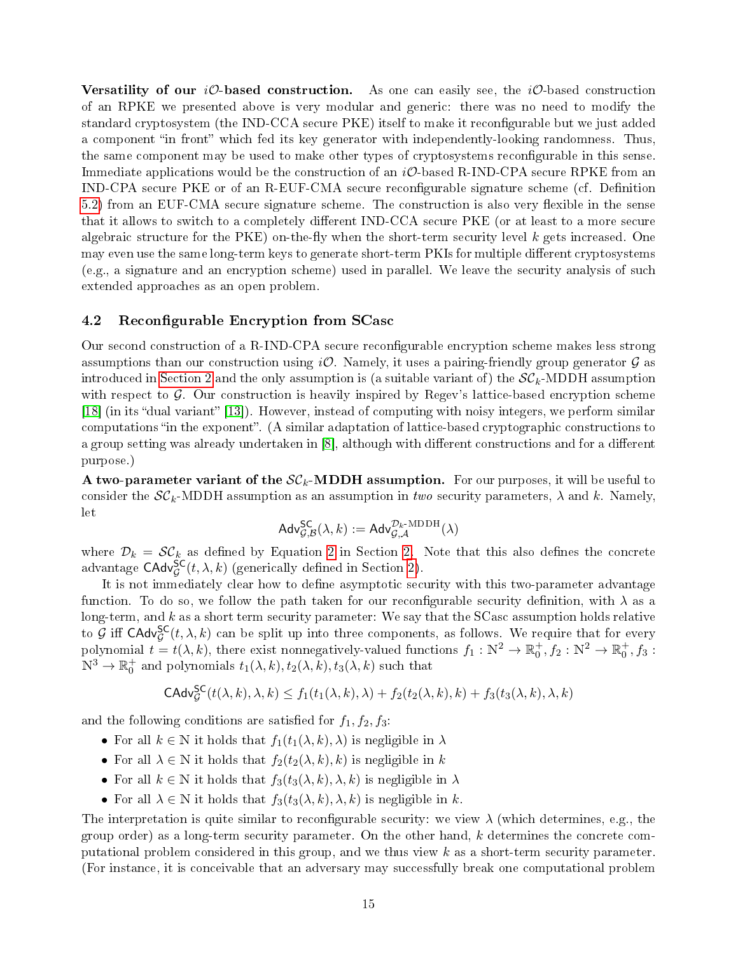**Versatility of our iO-based construction.** As one can easily see, the iO-based construction of an RPKE we presented above is very modular and generic: there was no need to modify the standard cryptosystem (the IND-CCA secure PKE) itself to make it reconfigurable but we just added a component "in front" which fed its key generator with independently-looking randomness. Thus, the same component may be used to make other types of cryptosystems reconfigurable in this sense. Immediate applications would be the construction of an  $i\mathcal{O}$ -based R-IND-CPA secure RPKE from an IND-CPA secure PKE or of an R-EUF-CMA secure reconfigurable signature scheme (cf. Definition [5.2\)](#page-18-0) from an EUF-CMA secure signature scheme. The construction is also very flexible in the sense that it allows to switch to a completely different IND-CCA secure PKE (or at least to a more secure algebraic structure for the PKE) on-the-fly when the short-term security level  $k$  gets increased. One may even use the same long-term keys to generate short-term PKIs for multiple different cryptosystems (e.g., a signature and an encryption scheme) used in parallel. We leave the security analysis of such extended approaches as an open problem.

#### <span id="page-14-0"></span>4.2 Reconfigurable Encryption from SCasc

Our second construction of a R-IND-CPA secure reconfigurable encryption scheme makes less strong assumptions than our construction using iO. Namely, it uses a pairing-friendly group generator G as introduced in [Section 2](#page-4-0) and the only assumption is (a suitable variant of) the  $SC_k\tm{DDH}$  assumption with respect to  $G$ . Our construction is heavily inspired by Regev's lattice-based encryption scheme  $[18]$  (in its "dual variant"  $[13]$ ). However, instead of computing with noisy integers, we perform similar computations "in the exponent". (A similar adaptation of lattice-based cryptographic constructions to a group setting was already undertaken in  $[8]$ , although with different constructions and for a different purpose.)

**A** two-parameter variant of the  $SC_k$ -MDDH assumption. For our purposes, it will be useful to consider the  $SC_k$ -MDDH assumption as an assumption in two security parameters,  $\lambda$  and k. Namely, let

$$
\mathsf{Adv}_{\mathcal{G}, \mathcal{B}}^{\mathsf{SC}}(\lambda, k) := \mathsf{Adv}_{\mathcal{G}, \mathcal{A}}^{\mathcal{D}_{k^\text{-}\mathrm{MDDH}}}(\lambda)
$$

where  $\mathcal{D}_k = \mathcal{SC}_k$  as defined by Equation [2](#page-5-0) in Section [2.](#page-4-0) Note that this also defines the concrete advantage  $\mathsf{CAdv}_{\mathcal{G}}^{\mathsf{SC}}(t,\lambda,k)$  (generically defined in Section [2\)](#page-4-0).

It is not immediately clear how to define asymptotic security with this two-parameter advantage function. To do so, we follow the path taken for our reconfigurable security definition, with  $\lambda$  as a long-term, and  $k$  as a short term security parameter: We say that the SCasc assumption holds relative to G iff  $\mathsf{CAdv}_{\mathcal{G}}^{\mathsf{SC}}(t,\lambda,k)$  can be split up into three components, as follows. We require that for every polynomial  $t = t(\lambda, k)$ , there exist nonnegatively-valued functions  $f_1 : \mathbb{N}^2 \to \mathbb{R}_0^+, f_2 : \mathbb{N}^2 \to \mathbb{R}_0^+, f_3 :$  $\mathbb{N}^3 \to \mathbb{R}_0^+$  and polynomials  $t_1(\lambda, k), t_2(\lambda, k), t_3(\lambda, k)$  such that

$$
\mathsf{CAdv}_{\mathcal{G}}^{\mathsf{SC}}(t(\lambda,k),\lambda,k) \le f_1(t_1(\lambda,k),\lambda) + f_2(t_2(\lambda,k),k) + f_3(t_3(\lambda,k),\lambda,k)
$$

and the following conditions are satisfied for  $f_1, f_2, f_3$ :

- For all  $k \in \mathbb{N}$  it holds that  $f_1(t_1(\lambda, k), \lambda)$  is negligible in  $\lambda$
- For all  $\lambda \in \mathbb{N}$  it holds that  $f_2(t_2(\lambda, k), k)$  is negligible in k
- For all  $k \in \mathbb{N}$  it holds that  $f_3(t_3(\lambda, k), \lambda, k)$  is negligible in  $\lambda$
- For all  $\lambda \in \mathbb{N}$  it holds that  $f_3(t_3(\lambda, k), \lambda, k)$  is negligible in k.

The interpretation is quite similar to reconfigurable security: we view  $\lambda$  (which determines, e.g., the group order) as a long-term security parameter. On the other hand,  $k$  determines the concrete computational problem considered in this group, and we thus view  $k$  as a short-term security parameter. (For instance, it is conceivable that an adversary may successfully break one computational problem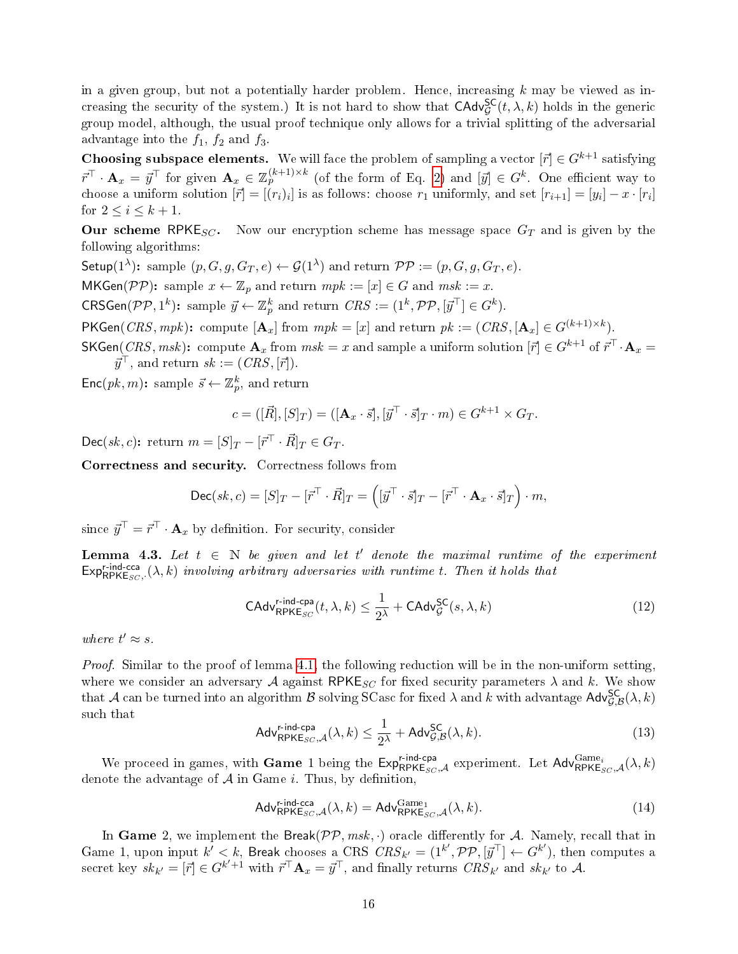in a given group, but not a potentially harder problem. Hence, increasing  $k$  may be viewed as increasing the security of the system.) It is not hard to show that  $\mathsf{CAdv}_{\mathcal{G}}^{\mathsf{SC}}(t,\lambda,k)$  holds in the generic group model, although, the usual proof technique only allows for a trivial splitting of the adversarial advantage into the  $f_1$ ,  $f_2$  and  $f_3$ .

**Choosing subspace elements.** We will face the problem of sampling a vector  $[\vec{r}] \in G^{k+1}$  satisfying  $\vec{r}^\top \cdot {\bf A}_x = \vec{y}^\top$  for given  ${\bf A}_x \in \mathbb{Z}_p^{(k+1)\times k}$  (of the form of Eq. [2\)](#page-5-0) and  $[\vec{y}] \in G^k$ . One efficient way to choose a uniform solution  $[\vec{r}] = [(r_i)_i]$  is as follows: choose  $r_1$  uniformly, and set  $[r_{i+1}] = [y_i] - x \cdot [r_i]$ for  $2 \leq i \leq k+1$ .

Our scheme RPKE<sub>SC</sub>. Now our encryption scheme has message space  $G_T$  and is given by the following algorithms:

Setup(1<sup> $\lambda$ </sup>): sample  $(p, G, g, G_T, e) \leftarrow \mathcal{G}(1^{\lambda})$  and return  $\mathcal{PP} := (p, G, g, G_T, e)$ .

MKGen( $\mathcal{PP}$ ): sample  $x \leftarrow \mathbb{Z}_p$  and return  $mpk := [x] \in G$  and  $msk := x$ .

**CRSGen** $(PP, 1^k)$ : sample  $\vec{y} \leftarrow \mathbb{Z}_p^k$  and return  $CRS := (1^k, PP, [\vec{y}^{\top}] \in G^k)$ .

**PKGen**(*CRS*, *mpk*): compute  $[\mathbf{A}_x]$  from  $mpk = [x]$  and return  $pk := (CRS, [\mathbf{A}_x] \in G^{(k+1)\times k})$ .

SKGen(CRS, msk): compute  $\mathbf{A}_x$  from  $msk = x$  and sample a uniform solution  $[\vec{r}] \in G^{k+1}$  of  $\vec{r}^{\top} \cdot \mathbf{A}_x =$  $\vec{y}^{\top}$ , and return  $sk := (CRS, [\vec{r}])$ .

**Enc**( $pk, m$ ): sample  $\vec{s} \leftarrow \mathbb{Z}_p^k$ , and return

$$
c = ([\vec{R}], [S]_T) = ([\mathbf{A}_x \cdot \vec{s}], [\vec{y}^\top \cdot \vec{s}]_T \cdot m) \in G^{k+1} \times G_T.
$$

 $\text{Dec}(sk, c)$ : return  $m = [S]_T - [\vec{r}^{\top} \cdot \vec{R}]_T \in G_T$ .

Correctness and security. Correctness follows from

$$
\mathsf{Dec}(sk,c) = [S]_T - [\vec{r}^\top \cdot \vec{R}]_T = \left( [\vec{y}^\top \cdot \vec{s}]_T - [\vec{r}^\top \cdot \mathbf{A}_x \cdot \vec{s}]_T \right) \cdot m,
$$

since  $\vec{y}^{\top} = \vec{r}^{\top} \cdot \mathbf{A}_x$  by definition. For security, consider

**Lemma 4.3.** Let  $t \in \mathbb{N}$  be given and let t' denote the maximal runtime of the experiment **Lemma 4.3.** Let  $t \in \mathbb{N}$  be given and let  $t'$  denote the maximal runtime of  $\mathsf{Exp}_{\mathsf{RPKE}_{SC}}^{\mathsf{r}\text{-}\mathsf{ind}\text{-}\mathsf{cca}}(\lambda, k)$  involving arbitrary adversaries with runtime  $t$ . Then it holds that  $\mathsf{CAdv}_{\mathsf{RPKE}_{SC}}^{\mathsf{r}\text$ 

<span id="page-15-2"></span>
$$
\mathsf{CAdv}_{\mathsf{RPKE}_{SC}}^{\mathsf{r-ind-cpa}}(t,\lambda,k) \le \frac{1}{2^{\lambda}} + \mathsf{CAdv}_{\mathcal{G}}^{\mathsf{SC}}(s,\lambda,k)
$$
\n(12)

where  $t' \approx s$ .

Proof. Similar to the proof of lemma [4.1,](#page-9-4) the following reduction will be in the non-uniform setting, where we consider an adversary  $A$  against RPKE<sub>SC</sub> for fixed security parameters  $\lambda$  and k. We show that  ${\cal A}$  can be turned into an algorithm  ${\cal B}$  solving SCasc for fixed  $\lambda$  and  $k$  with advantage  ${\sf Adv}^{\sf SC}_{{\cal G},\cal B}(\lambda,k)$ such that

<span id="page-15-1"></span>
$$
\mathsf{Adv}_{\mathsf{RPKE}_{SC},\mathcal{A}}^{\mathsf{r}\text{-}\mathsf{ind}\text{-}\mathsf{cpa}}(\lambda,k) \le \frac{1}{2^{\lambda}} + \mathsf{Adv}_{\mathcal{G},\mathcal{B}}^{\mathsf{SC}}(\lambda,k). \tag{13}
$$

We proceed in games, with Game 1 being the  $\mathsf{Exp}_{\mathsf{RPKE}_{SC},\mathcal{A}}^{\mathsf{r}\text{-}\mathsf{ind}\text{-}\mathsf{cpa}}$  experiment. Let  $\mathsf{Adv}_{\mathsf{RPKE}_{SC},\mathcal{A}}^{\mathsf{Game}_i}(\lambda,k)$ denote the advantage of  $A$  in Game *i*. Thus, by definition,

<span id="page-15-0"></span>
$$
\mathsf{Adv}_{\mathsf{RPKE}_{SC},\mathcal{A}}^{\mathsf{r-ind}\text{-}\mathsf{cca}}(\lambda,k) = \mathsf{Adv}_{\mathsf{RPKE}_{SC},\mathcal{A}}^{\mathsf{Game}_1}(\lambda,k). \tag{14}
$$

In Game 2, we implement the Break( $\mathcal{PP}, msk, \cdot$ ) oracle differently for A. Namely, recall that in Game 1, upon input  $k' < k$ , Break chooses a CRS  $CRS_{k'} = (1^{k'}, \mathcal{PP}, [\vec{y}^{\top}] \leftarrow G^{k'}),$  then computes a secret key  $sk_{k'} = [\vec{r}] \in G^{k'+1}$  with  $\vec{r}^\top \mathbf{A}_x = \vec{y}^\top$ , and finally returns  $CRS_{k'}$  and  $sk_{k'}$  to A.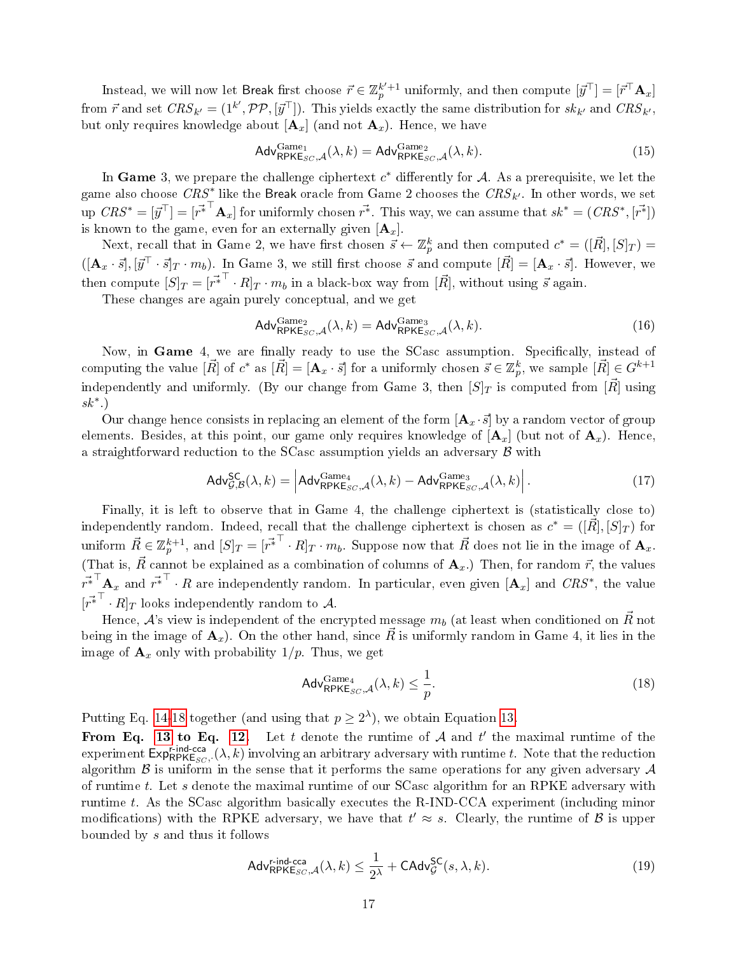Instead, we will now let Break first choose  $\vec{r} \in \mathbb{Z}_p^{k'+1}$  uniformly, and then compute  $[\vec{y}^\top] = [\vec{r}^\top {\bf A}_x]$ from  $\vec{r}$  and set  $CRS_{k'} = (1^{k'}, \mathcal{PP}, [\vec{y}^\top])$ . This yields exactly the same distribution for  $sk_{k'}$  and  $CRS_{k'},$ but only requires knowledge about  $[A_x]$  (and not  $A_x$ ). Hence, we have

$$
\mathsf{Adv}_{\mathsf{RPKE}_{SC},\mathcal{A}}^{\mathsf{Game}_1}(\lambda,k) = \mathsf{Adv}_{\mathsf{RPKE}_{SC},\mathcal{A}}^{\mathsf{Game}_2}(\lambda,k). \tag{15}
$$

In Game 3, we prepare the challenge ciphertext  $c^*$  differently for A. As a prerequisite, we let the game also choose  $CRS_{-}^*$  like the Break oracle from Game 2 chooses the  $CRS_{k'}$ . In other words, we set  $\text{sup} \; CRS^* = [\vec{y}^\top] = [\vec{r^*}^\top \mathbf{A}_x] \text{ for uniformly chosen } \vec{r^*}.$  This way, we can assume that  $sk^* = (CRS^*, [\vec{r^*}])$ is known to the game, even for an externally given  $[A_x]$ .

Next, recall that in Game 2, we have first chosen  $\vec{s} \leftarrow \mathbb{Z}_p^k$  and then computed  $c^* = ([\vec{R}], [S]_T) =$  $([{\bf A}_x \cdot \vec{s}], [\vec{y}^\top \cdot \vec{s}]_T \cdot m_b)$ . In Game 3, we still first choose  $\vec{s}$  and compute  $[\vec{R}] = [{\bf A}_x \cdot \vec{s}]$ . However, we then compute  $[S]_T = [r^{\vec{*}}^\top \cdot R]_T \cdot m_b$  in a black-box way from  $[\vec{R}]$ , without using  $\vec{s}$  again.

These changes are again purely conceptual, and we get

$$
\mathsf{Adv}_{\mathsf{RPKE}_{SC},\mathcal{A}}^{\mathsf{Game}_2}(\lambda,k) = \mathsf{Adv}_{\mathsf{RPKE}_{SC},\mathcal{A}}^{\mathsf{Game}_3}(\lambda,k). \tag{16}
$$

Now, in Game 4, we are finally ready to use the SCasc assumption. Specifically, instead of computing the value  $[\vec{R}]$  of  $c^*$  as  $[\vec{R}] = [\mathbf{A}_x \cdot \vec{s}]$  for a uniformly chosen  $\vec{s} \in \mathbb{Z}_p^k$ , we sample  $[\vec{R}] \in G^{k+1}$ independently and uniformly. (By our change from Game 3, then  $[S]_T$  is computed from  $[\vec{R}]$  using  $sk^*$ .)

Our change hence consists in replacing an element of the form  $[A_x \cdot \vec{s}]$  by a random vector of group elements. Besides, at this point, our game only requires knowledge of  $[A_x]$  (but not of  $A_x$ ). Hence, a straightforward reduction to the SCasc assumption yields an adversary  $\beta$  with

$$
\mathsf{Adv}_{\mathcal{G},\mathcal{B}}^{\mathsf{SC}}(\lambda,k) = \left| \mathsf{Adv}_{\mathsf{RPKE}_{SC},\mathcal{A}}^{\mathsf{Game}_4}(\lambda,k) - \mathsf{Adv}_{\mathsf{RPKE}_{SC},\mathcal{A}}^{\mathsf{Game}_3}(\lambda,k) \right|.
$$
 (17)

Finally, it is left to observe that in Game 4, the challenge ciphertext is (statistically close to) independently random. Indeed, recall that the challenge ciphertext is chosen as  $c^* = ([\vec{R}], [S]_T)$  for uniform  $\vec{R} \in \mathbb{Z}_p^{k+1}$ , and  $[S]_T = [r^*{^\top} \cdot R]_T \cdot m_b$ . Suppose now that  $\vec{R}$  does not lie in the image of  $\mathbf{A}_x$ . (That is,  $\vec{R}$  cannot be explained as a combination of columns of  $\mathbf{A}_x$ .) Then, for random  $\vec{r}$ , the values  $\vec{r^*}^\top {\bf A}_x$  and  $\vec{r^*}^\top \cdot R$  are independently random. In particular, even given  $[{\bf A}_x]$  and  $CRS^*$ , the value  $[r^{\vec{*}}^\top \cdot R]_T$  looks independently random to A.

Hence,  $\mathcal{A}$ 's view is independent of the encrypted message  $m_b$  (at least when conditioned on  $\vec{R}$  not being in the image of  $\mathbf{A}_x$ ). On the other hand, since  $\vec{R}$  is uniformly random in Game 4, it lies in the image of  $\mathbf{A}_x$  only with probability  $1/p$ . Thus, we get

<span id="page-16-0"></span>
$$
\mathsf{Adv}_{\mathsf{RPKE}_{SC},\mathcal{A}}^{\mathsf{Game}_4}(\lambda,k) \le \frac{1}{p}.\tag{18}
$$

Putting Eq. [14](#page-15-0)[-18](#page-16-0) together (and using that  $p \geq 2^{\lambda}$ ), we obtain Equation [13.](#page-15-1)

From Eq. [13](#page-15-1) to Eq. [12.](#page-15-2) Let t denote the runtime of A and t' the maximal runtime of the experiment  $\textsf{Exp}_{\mathsf{RPKE}_{SC}}^{\textsf{r-ind-cca}}(\lambda, k)$  involving an arbitrary adversary with runtime t. Note that the reduction algorithm  $\beta$  is uniform in the sense that it performs the same operations for any given adversary  $\mathcal A$ of runtime t. Let s denote the maximal runtime of our SCasc algorithm for an RPKE adversary with runtime t. As the SCasc algorithm basically executes the R-IND-CCA experiment (including minor modifications) with the RPKE adversary, we have that  $t' \approx s$ . Clearly, the runtime of  $\beta$  is upper bounded by s and thus it follows

<span id="page-16-1"></span>
$$
\mathsf{Adv}_{\mathsf{RPKE}_{SC},\mathcal{A}}^{\mathsf{r}\text{-}\mathsf{ind}\text{-}\mathsf{cca}}(\lambda,k) \le \frac{1}{2^{\lambda}} + \mathsf{CAdv}_{\mathcal{G}}^{\mathsf{SC}}(s,\lambda,k). \tag{19}
$$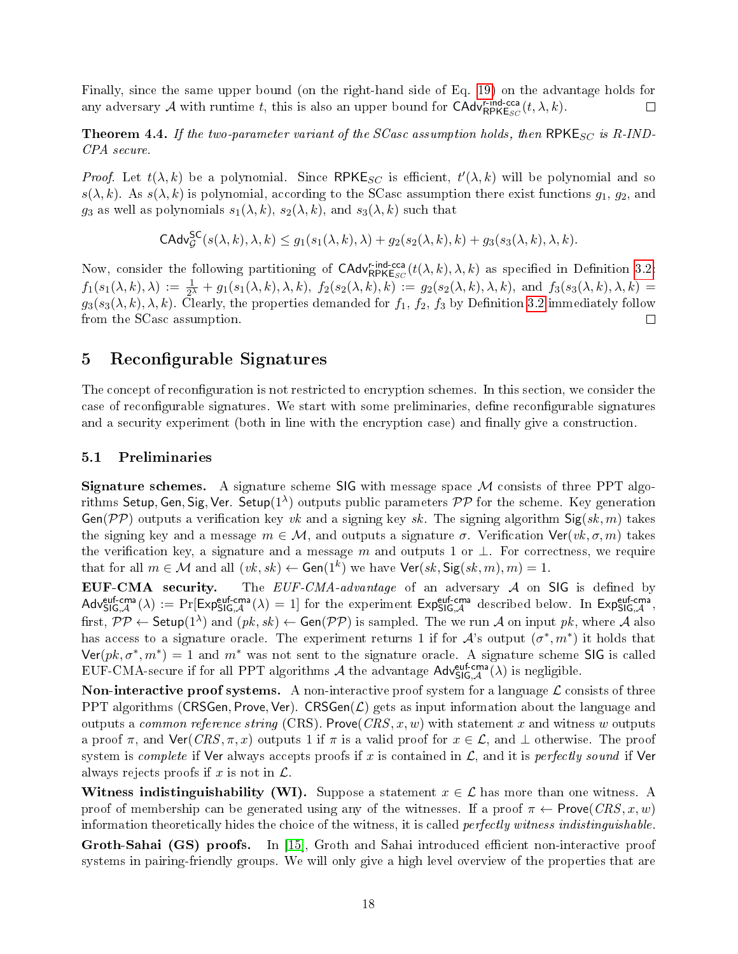Finally, since the same upper bound (on the right-hand side of Eq. [19\)](#page-16-1) on the advantage holds for any adversary A with runtime t, this is also an upper bound for  $CAdv_{RPKE_{SC}}^{rind-cca}(t, \lambda, k)$ .  $\Box$ 

<span id="page-17-1"></span>**Theorem 4.4.** If the two-parameter variant of the SCasc assumption holds, then RPKE<sub>SC</sub> is R-IND-CPA secure.

*Proof.* Let  $t(\lambda, k)$  be a polynomial. Since RPKE<sub>SC</sub> is efficient,  $t'(\lambda, k)$  will be polynomial and so  $s(\lambda, k)$ . As  $s(\lambda, k)$  is polynomial, according to the SCasc assumption there exist functions  $g_1, g_2$ , and  $g_3$  as well as polynomials  $s_1(\lambda, k)$ ,  $s_2(\lambda, k)$ , and  $s_3(\lambda, k)$  such that

$$
\mathsf{CAdv}_{\mathcal{G}}^{\mathsf{SC}}(s(\lambda,k),\lambda,k) \le g_1(s_1(\lambda,k),\lambda) + g_2(s_2(\lambda,k),k) + g_3(s_3(\lambda,k),\lambda,k).
$$

Now, consider the following partitioning of  $CAdv_{RPKE_{SC}}^{r-ind-cca}(t(\lambda, k), \lambda, k)$  as specified in Definition [3.2:](#page-7-1)  $f_1(s_1(\lambda, k), \lambda) := \frac{1}{2^{\lambda}} + g_1(s_1(\lambda, k), \lambda, k), f_2(s_2(\lambda, k), k) := g_2(s_2(\lambda, k), \lambda, k), \text{ and } f_3(s_3(\lambda, k), \lambda, k) =$  $g_3(s_3(\lambda, k), \lambda, k)$ . Clearly, the properties demanded for  $f_1, f_2, f_3$  by Definition [3.2](#page-7-1) immediately follow from the SCasc assumption.  $\Box$ 

## <span id="page-17-0"></span>5 Reconfigurable Signatures

The concept of reconfiguration is not restricted to encryption schemes. In this section, we consider the case of reconfigurable signatures. We start with some preliminaries, define reconfigurable signatures and a security experiment (both in line with the encryption case) and finally give a construction.

## 5.1 Preliminaries

**Signature schemes.** A signature scheme SIG with message space  $M$  consists of three PPT algorithms Setup, Gen, Sig, Ver. Setup $(1^{\lambda})$  outputs public parameters  ${\cal PP}$  for the scheme. Key generation Gen(PP) outputs a verification key vk and a signing key sk. The signing algorithm  $\text{Sig}(sk, m)$  takes the signing key and a message  $m \in \mathcal{M}$ , and outputs a signature  $\sigma$ . Verification Ver(vk,  $\sigma$ , m) takes the verification key, a signature and a message m and outputs 1 or  $\perp$ . For correctness, we require that for all  $m \in \mathcal{M}$  and all  $(vk, sk) \leftarrow \mathsf{Gen}(1^k)$  we have  $\mathsf{Ver}(sk, \mathsf{Sig}(sk, m), m) = 1$ .

EUF-CMA security. The  $EUF-CMA-advantage$  of an adversary  $A$  on SIG is defined by  $\mathsf{Adv}_{\mathsf{SIG},\mathcal{A}}^{\mathsf{euf-cma}}(\lambda) := \Pr[\mathsf{Exp}_{\mathsf{SIG},\mathcal{A}}^{\mathsf{euf-cma}}(\lambda) = 1]$  for the experiment  $\mathsf{Exp}_{\mathsf{SIG},\mathcal{A}}^{\mathsf{euf-cma}}$  described below. In  $\mathsf{Exp}_{\mathsf{SIG},\mathcal{A}}^{\mathsf{euf-cma}},$ first,  ${\cal PP}\leftarrow{\sf Setup}(1^\lambda)$  and  $(pk, sk)\leftarrow{\sf Gen}({\cal PP})$  is sampled. The we run  ${\cal A}$  on input  $pk,$  where  ${\cal A}$  also has access to a signature oracle. The experiment returns 1 if for  $\mathcal{A}$ 's output  $(\sigma^*, m^*)$  it holds that Ver( $pk, \sigma^*, m^*$ ) = 1 and  $m^*$  was not sent to the signature oracle. A signature scheme SIG is called EUF-CMA-secure if for all PPT algorithms  $\mathcal A$  the advantage  $\mathsf{Adv}_{\mathsf{SIG},\mathcal A}^{\mathsf{euf-cma}}(\lambda)$  is negligible.

**Non-interactive proof systems.** A non-interactive proof system for a language  $\mathcal{L}$  consists of three PPT algorithms (CRSGen, Prove, Ver). CRSGen( $\mathcal{L}$ ) gets as input information about the language and outputs a common reference string (CRS). Prove  $CRS, x, w$  with statement x and witness w outputs a proof  $\pi$ , and  $\textsf{Ver}(CRS, \pi, x)$  outputs 1 if  $\pi$  is a valid proof for  $x \in \mathcal{L}$ , and  $\perp$  otherwise. The proof system is *complete* if Ver always accepts proofs if x is contained in  $\mathcal{L}$ , and it is *perfectly sound* if Ver always rejects proofs if x is not in  $\mathcal{L}$ .

Witness indistinguishability (WI). Suppose a statement  $x \in \mathcal{L}$  has more than one witness. A proof of membership can be generated using any of the witnesses. If a proof  $\pi \leftarrow \text{Prove}(CRS, x, w)$ information theoretically hides the choice of the witness, it is called *perfectly witness indistinguishable*.

Groth-Sahai (GS) proofs. In [\[15\]](#page-24-12), Groth and Sahai introduced efficient non-interactive proof systems in pairing-friendly groups. We will only give a high level overview of the properties that are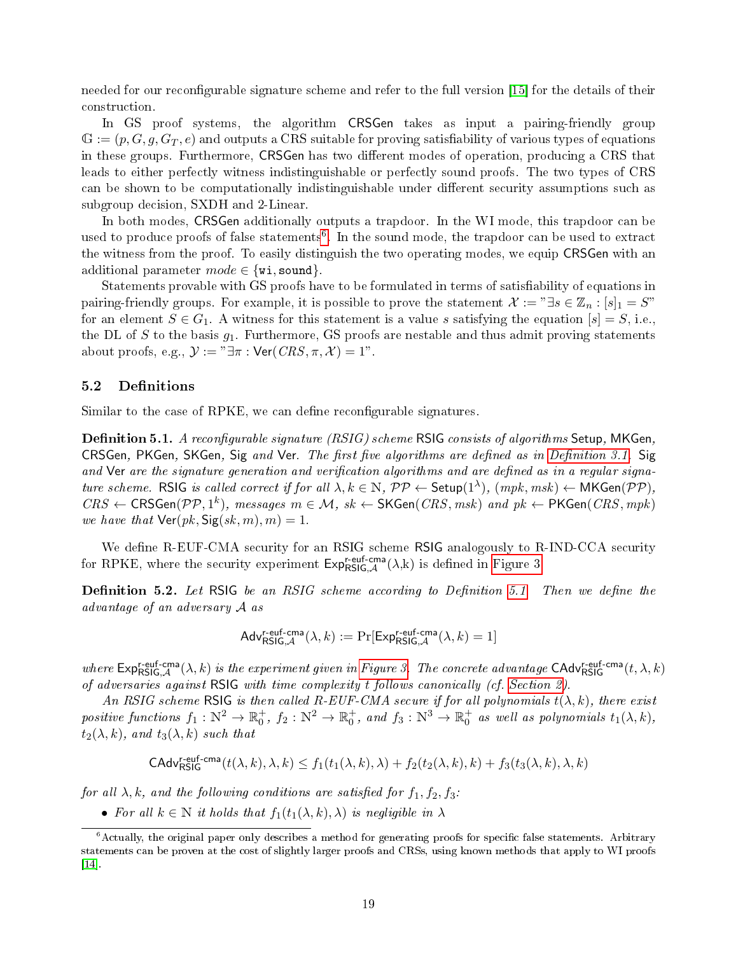needed for our reconfigurable signature scheme and refer to the full version [\[15\]](#page-24-12) for the details of their construction.

In GS proof systems, the algorithm CRSGen takes as input a pairing-friendly group  $G := (p, G, g, G_T, e)$  and outputs a CRS suitable for proving satisfiability of various types of equations in these groups. Furthermore, CRSGen has two different modes of operation, producing a CRS that leads to either perfectly witness indistinguishable or perfectly sound proofs. The two types of CRS can be shown to be computationally indistinguishable under different security assumptions such as subgroup decision, SXDH and 2-Linear.

In both modes, CRSGen additionally outputs a trapdoor. In the WI mode, this trapdoor can be used to produce proofs of false statements<sup>[6](#page-18-1)</sup>. In the sound mode, the trapdoor can be used to extract the witness from the proof. To easily distinguish the two operating modes, we equip CRSGen with an additional parameter  $mode \in \{ \texttt{wi}, \texttt{sound} \}.$ 

Statements provable with GS proofs have to be formulated in terms of satisability of equations in pairing-friendly groups. For example, it is possible to prove the statement  $\mathcal{X} := " \exists s \in \mathbb{Z}_n : [s]_1 = S$ " for an element  $S \in G_1$ . A witness for this statement is a value s satisfying the equation  $[s] = S$ , i.e., the DL of S to the basis  $g_1$ . Furthermore, GS proofs are nestable and thus admit proving statements about proofs, e.g.,  $\mathcal{Y} := " \exists \pi : \text{Ver}(CRS, \pi, \mathcal{X}) = 1"$ .

#### 5.2 Definitions

Similar to the case of RPKE, we can define reconfigurable signatures.

<span id="page-18-2"></span>**Definition 5.1.** A reconfigurable signature (RSIG) scheme RSIG consists of algorithms Setup, MKGen, CRSGen, PKGen, SKGen, Sig and Ver. The first five algorithms are defined as in Definition 3.1. Sig and  $\forall$ er are the signature generation and verification algorithms and are defined as in a regular signature scheme. RSIG is called correct if for all  $\lambda, k \in \mathbb{N}$ ,  $\mathcal{PP} \leftarrow$  Setup $(1^{\lambda})$ ,  $(mpk, msk) \leftarrow \mathsf{MKGen}(\mathcal{PP})$ ,  $CRS \leftarrow \text{CRSGen}(\mathcal{PP}, 1^k)$ , messages  $m \in \mathcal{M}$ , sk  $\leftarrow$  SKGen(CRS, msk) and  $pk \leftarrow \text{PKGen}(CRS, mpk)$ we have that  $\text{Ver}(pk, \text{Sig}(sk, m), m) = 1$ .

We define R-EUF-CMA security for an RSIG scheme RSIG analogously to R-IND-CCA security for RPKE, where the security experiment  $\textsf{Exp}_{\textsf{RSIG},\mathcal{A}}^{\textsf{r-euf-cma}}(\lambda,\mathrm{k})$  is defined in [Figure 3.](#page-19-0)

<span id="page-18-0"></span>**Definition 5.2.** Let RSIG be an RSIG scheme according to Definition [5.1.](#page-18-2) Then we define the advantage of an adversary A as

$$
4 \text{ as}
$$
\n
$$
\mathsf{Adv}_{\mathsf{RSIG},\mathcal{A}}^{\mathsf{r-euf-cma}}(\lambda,k) := \Pr[\mathsf{Exp}_{\mathsf{RSIG},\mathcal{A}}^{\mathsf{r-euf-cma}}(\lambda,k) = 1]
$$

 $\mathsf{Adv}_{\mathsf{R}\mathsf{S}\mathsf{IG},\mathcal{A}}^{\mathsf{Adv}_{\mathsf{R}\mathsf{S}\mathsf{IG},\mathcal{A}}^{\mathsf{car}}(\lambda, k) := \Pr[\mathsf{Exp}_{\mathsf{R}\mathsf{S}\mathsf{IG},\mathcal{A}}^{\mathsf{car}}(\lambda, k) = 1]$ <br>where  $\mathsf{Exp}_{\mathsf{RSIG},\mathcal{A}}^{\mathsf{Per}_{\mathsf{R}\mathsf{S}\mathsf{IG}}^{\mathsf{car}}(\lambda, k)$  is the experiment given in [Figure 3.](#page-19-0) Th of adversaries against RSIG with time complexity t follows canonically (cf. [Section 2\)](#page-4-0).

An RSIG scheme RSIG is then called R-EUF-CMA secure if for all polynomials  $t(\lambda, k)$ , there exist positive functions  $f_1: \mathbb{N}^2 \to \mathbb{R}_0^+$ ,  $f_2: \mathbb{N}^2 \to \mathbb{R}_0^+$ , and  $f_3: \mathbb{N}^3 \to \mathbb{R}_0^+$  as well as polynomials  $t_1(\lambda, k)$ ,  $t_2(\lambda, k)$ , and  $t_3(\lambda, k)$  such that<br>CAdv<sub>RSIG</sub>  $(t(\lambda, k))$ 

$$
\mathsf{CAdv}_{\mathsf{RSIG}}^{\mathsf{reuf-cma}}(t(\lambda,k),\lambda,k) \le f_1(t_1(\lambda,k),\lambda) + f_2(t_2(\lambda,k),k) + f_3(t_3(\lambda,k),\lambda,k)
$$

for all  $\lambda, k$ , and the following conditions are satisfied for  $f_1, f_2, f_3$ :

• For all  $k \in \mathbb{N}$  it holds that  $f_1(t_1(\lambda, k), \lambda)$  is negligible in  $\lambda$ 

<span id="page-18-1"></span> $6$ Actually, the original paper only describes a method for generating proofs for specific false statements. Arbitrary statements can be proven at the cost of slightly larger proofs and CRSs, using known methods that apply to WI proofs [\[14\]](#page-24-13).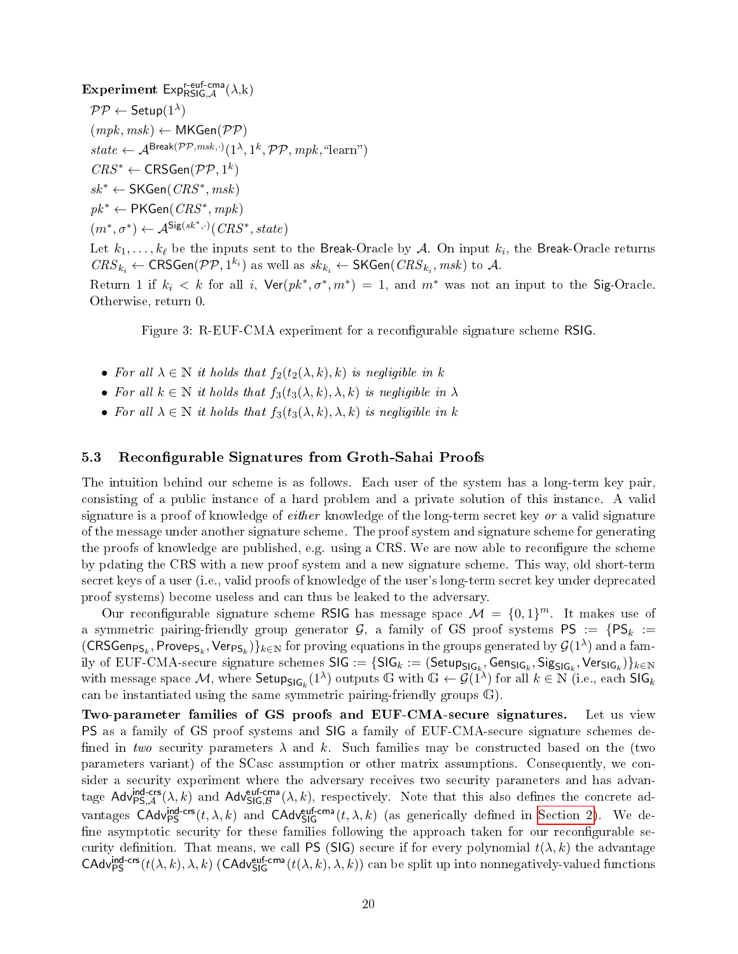<span id="page-19-0"></span> ${\bf Experiment ~Exp}_{\mathsf{RSIG},\mathcal{A}}^{\mathsf{r}\text{-}{\sf euf}\text{-}{\sf cma}}(\lambda,\!{\rm k})$  $\mathcal{PP} \leftarrow \mathsf{Setup}(1^\lambda)$  $(mpk, msk) \leftarrow \mathsf{MKGen}(\mathcal{PP})$ state  $\leftarrow \mathcal{A}^{\text{Break}(\mathcal{PP}, \text{msk}, \cdot)}(1^{\lambda}, 1^k, \mathcal{PP}, \text{mpk}, \text{``learn''})$  $CRS^* \leftarrow \textsf{CRSGen}(\mathcal{PP}, 1^k)$  $sk^* \leftarrow \mathsf{SKGen}(\mathit{CRS}^*, \mathit{msk})$  $pk^* \leftarrow \text{PKGen}(CRS^*, mpk)$  $(m^*, \sigma^*) \leftarrow \mathcal{A}^{\mathsf{Sig}(sk^*, \cdot)}(CRS^*, state)$ Let  $k_1,\ldots,k_\ell$  be the inputs sent to the Break-Oracle by  ${\mathcal A}$ . On input  $k_i,$  the Break-Oracle returns  $CRS_{k_i} \leftarrow \text{CRSGen}(\mathcal{PP}, 1^{k_i})$  as well as  $sk_{k_i} \leftarrow \text{SKGen}(CRS_{k_i}, msk)$  to A.

Return 1 if  $k_i < k$  for all i,  $\text{Ver}(pk^*, \sigma^*, m^*) = 1$ , and  $m^*$  was not an input to the Sig-Oracle. Otherwise, return 0.

Figure 3: R-EUF-CMA experiment for a reconfigurable signature scheme RSIG.

- For all  $\lambda \in \mathbb{N}$  it holds that  $f_2(t_2(\lambda, k), k)$  is negligible in k
- For all  $k \in \mathbb{N}$  it holds that  $f_3(t_3(\lambda, k), \lambda, k)$  is negligible in  $\lambda$
- For all  $\lambda \in \mathbb{N}$  it holds that  $f_3(t_3(\lambda, k), \lambda, k)$  is negligible in k

#### 5.3 Reconfigurable Signatures from Groth-Sahai Proofs

The intuition behind our scheme is as follows. Each user of the system has a long-term key pair, consisting of a public instance of a hard problem and a private solution of this instance. A valid signature is a proof of knowledge of *either* knowledge of the long-term secret key or a valid signature of the message under another signature scheme. The proof system and signature scheme for generating the proofs of knowledge are published, e.g. using a CRS. We are now able to reconfigure the scheme by pdating the CRS with a new proof system and a new signature scheme. This way, old short-term secret keys of a user (i.e., valid proofs of knowledge of the user's long-term secret key under deprecated proof systems) become useless and can thus be leaked to the adversary.

Our reconfigurable signature scheme RSIG has message space  $\mathcal{M} = \{0, 1\}^m$ . It makes use of a symmetric pairing-friendly group generator G, a family of GS proof systems  $PS := \{PS_k :=$  $(\mathsf{CRSGen}_{\mathsf{PS}_k}, \mathsf{Prove}_{\mathsf{PS}_k}, \mathsf{Ver}_{\mathsf{PS}_k})\}_{k\in\mathbb{N}}$  for proving equations in the groups generated by  $\mathcal{G}(1^\lambda)$  and a family of EUF-CMA-secure signature schemes SIG := {SIG<sup>k</sup> := (SetupSIG<sup>k</sup> , GenSIG<sup>k</sup> , SigSIG<sup>k</sup> , VerSIG<sup>k</sup> )}k∈<sup>N</sup> with message space  $\mathcal M$ , where  $\mathsf{Setup}_{\mathsf{SIG}_k}(1^\lambda)$  outputs  $\mathbb G$  with  $\mathbb G\leftarrow\mathcal G(1^\lambda)$  for all  $k\in\mathbb N$  (i.e., each  $\mathsf{SIG}_k$ can be instantiated using the same symmetric pairing-friendly groups G).

Two-parameter families of GS proofs and EUF-CMA-secure signatures. Let us view PS as a family of GS proof systems and SIG a family of EUF-CMA-secure signature schemes de fined in two security parameters  $\lambda$  and k. Such families may be constructed based on the (two parameters variant) of the SCasc assumption or other matrix assumptions. Consequently, we consider a security experiment where the adversary receives two security parameters and has advantage Adv<sup>ind-crs</sup> $(\lambda, k)$  and Adv<sup>euf-cma</sup> $(\lambda, k)$ , respectively. Note that this also defines the concrete advantages  $CAdv_{PS}^{ind-crs}(t, \lambda, k)$  and  $CAdv_{SIG}^{euf-cma}(t, \lambda, k)$  (as generically defined in [Section 2\)](#page-4-0). We define asymptotic security for these families following the approach taken for our reconfigurable security definition. That means, we call PS (SIG) secure if for every polynomial  $t(\lambda, k)$  the advantage CAdv<sup>ind-crs</sup> $(t(\lambda, k), \lambda, k)$  (CAdveuf-cma $(t(\lambda, k), \lambda, k)$ ) can be split up into nonnegatively-valued functions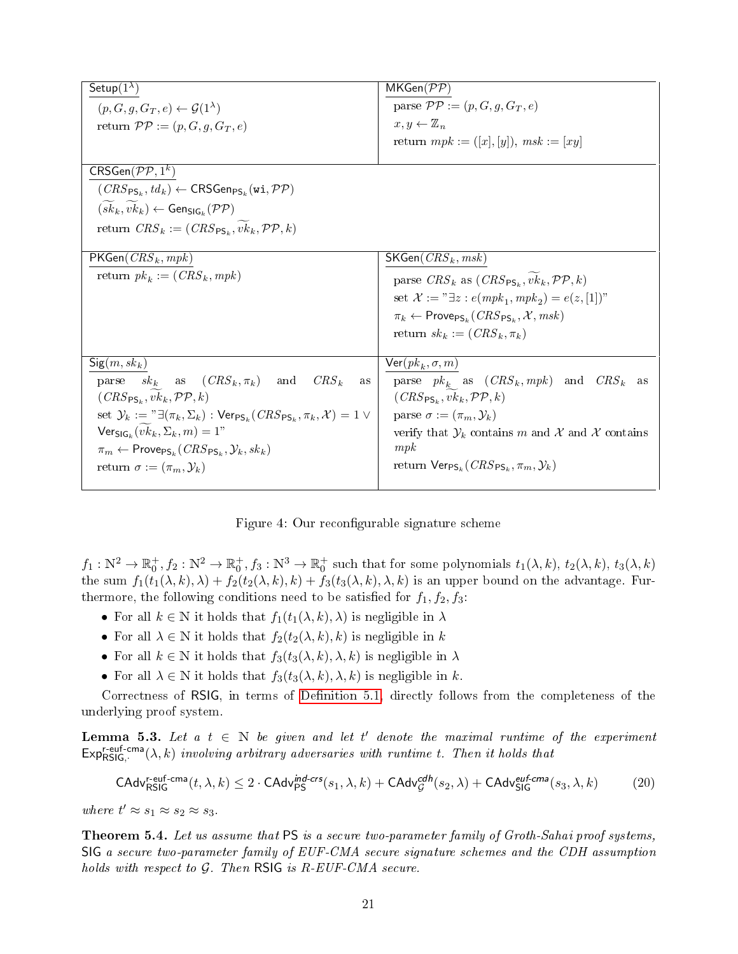| Setup $(1^{\lambda})$                                                                                                               | $MKGen(\mathcal{PP})$                                                              |
|-------------------------------------------------------------------------------------------------------------------------------------|------------------------------------------------------------------------------------|
| $(p, G, g, G_T, e) \leftarrow \mathcal{G}(1^{\lambda})$                                                                             | parse $\mathcal{PP} := (p, G, g, G_T, e)$                                          |
| return $\mathcal{PP} := (p, G, g, G_T, e)$                                                                                          | $x, y \leftarrow \mathbb{Z}_n$                                                     |
|                                                                                                                                     | return $mpk := ([x], [y]), \ msk := [xy]$                                          |
| $CRSGen(\mathcal{PP}, 1^k)$                                                                                                         |                                                                                    |
| $(CRS_{PS_k}, td_k) \leftarrow \text{CRSGen}_{PS_k}(wi, \mathcal{PP})$                                                              |                                                                                    |
| $(s\tilde{k}_k, v k_k) \leftarrow \mathsf{Gen}_{\mathsf{SIG}_k}(\mathcal{PP})$                                                      |                                                                                    |
| return $CRS_k := (CRS_{PS_k}, \widetilde{vk}_k, \mathcal{PP}, k)$                                                                   |                                                                                    |
| $PKGen(CRS_k, mpk)$                                                                                                                 | $SKGen(CRS_k, msk)$                                                                |
| return $pk_k := (CRS_k, mpk)$                                                                                                       | parse $CRS_k$ as $(CRS_{PS_k}, vk_k, \mathcal{PP}, k)$                             |
|                                                                                                                                     | set $\mathcal{X} := " \exists z : e(mpk_1, mpk_2) = e(z, [1])"$                    |
|                                                                                                                                     |                                                                                    |
|                                                                                                                                     | $\pi_k \leftarrow$ Prove <sub>PS<sub>k</sub></sub> $CRS_{PS_k}, \mathcal{X}, msk)$ |
|                                                                                                                                     | return $sk_k := (CRS_k, \pi_k)$                                                    |
| $Sign(m, sk_k)$                                                                                                                     | $\mathsf{Ver}(pk_k, \sigma, m)$                                                    |
| $sk_k$ as $(CRS_k, \pi_k)$ and $CRS_k$ as<br>parse                                                                                  | parse $pk_k$ as $(CRS_k, mpk)$ and $CRS_k$ as                                      |
| $(CRS_{PS_k}, v k_k, {\cal PP}, k)$                                                                                                 | $(CRS_{PS_k}, vk_k, \mathcal{PP}, k)$                                              |
| set $\mathcal{Y}_k := " \exists (\pi_k, \Sigma_k) : \mathsf{Ver}_{\mathsf{PS}_k}(CRS_{\mathsf{PS}_k}, \pi_k, \mathcal{X}) = 1 \vee$ | parse $\sigma := (\pi_m, \mathcal{Y}_k)$                                           |
| $\mathsf{Ver}_{\mathsf{SIG}_k}(vk_k, \Sigma_k, m) = 1$ "                                                                            | verify that $\mathcal{Y}_k$ contains m and X and X contains                        |
| $\pi_m \leftarrow$ Prove <sub>PS<sub>k</sub></sub> $CRS_{PS_k}, \mathcal{Y}_k, sk_k)$                                               | mpk                                                                                |
| return $\sigma := (\pi_m, \mathcal{Y}_k)$                                                                                           | return $\mathsf{Ver}_{\mathsf{PS}_k}(CRS_{\mathsf{PS}_k}, \pi_m, \mathcal{Y}_k)$   |
|                                                                                                                                     |                                                                                    |

Figure 4: Our reconfigurable signature scheme

 $f_1: \mathbb{N}^2 \to \mathbb{R}_0^+, f_2: \mathbb{N}^2 \to \mathbb{R}_0^+, f_3: \mathbb{N}^3 \to \mathbb{R}_0^+$  such that for some polynomials  $t_1(\lambda, k)$ ,  $t_2(\lambda, k)$ ,  $t_3(\lambda, k)$ the sum  $f_1(t_1(\lambda, k), \lambda) + f_2(t_2(\lambda, k), k) + f_3(t_3(\lambda, k), \lambda, k)$  is an upper bound on the advantage. Furthermore, the following conditions need to be satisfied for  $f_1, f_2, f_3$ :

- For all  $k \in \mathbb{N}$  it holds that  $f_1(t_1(\lambda, k), \lambda)$  is negligible in  $\lambda$
- For all  $\lambda \in \mathbb{N}$  it holds that  $f_2(t_2(\lambda, k), k)$  is negligible in k
- For all  $k \in \mathbb{N}$  it holds that  $f_3(t_3(\lambda, k), \lambda, k)$  is negligible in  $\lambda$
- For all  $\lambda \in \mathbb{N}$  it holds that  $f_3(t_3(\lambda, k), \lambda, k)$  is negligible in k.

Correctness of RSIG, in terms of Definition 5.1, directly follows from the completeness of the underlying proof system.

<span id="page-20-1"></span>**Lemma 5.3.** Let a  $t \in \mathbb{N}$  be given and let  $t'$  denote the maximal runtime of the experiment **Lemma 5.3.** Let a  $t \in \mathbb{N}$  be given and let  $t'$  denote the maximal runtime  $\exp_{\text{RSIG},\cdot}^{\text{Feuf-cma}}(\lambda, k)$  involving arbitrary adversaries with runtime  $t$ . Then it holds that <br>CAdv<sub>RSIG</sub>.  $\text{CAdv}_{\text{RSIG}}^{\text{Feuf-cma}}(t, \lambda, k$ 

$$
\mathrm{CAdv}_{\mathrm{RSIG}}^{\mathrm{reuf-cma}}(t,\lambda,k)\leq 2\cdot \mathrm{CAdv}_{\mathrm{PS}}^{\mathrm{ind-crs}}(s_1,\lambda,k)+\mathrm{CAdv}_{\mathcal{G}}^{\mathrm{cdh}}(s_2,\lambda)+\mathrm{CAdv}_{\mathrm{SIG}}^{\mathrm{euf-cma}}(s_3,\lambda,k)\qquad \qquad (20)
$$

where  $t' \approx s_1 \approx s_2 \approx s_3$ .

<span id="page-20-0"></span>Theorem 5.4. Let us assume that PS is a secure two-parameter family of Groth-Sahai proof systems, SIG a secure two-parameter family of EUF-CMA secure signature schemes and the CDH assumption holds with respect to  $G$ . Then RSIG is R-EUF-CMA secure.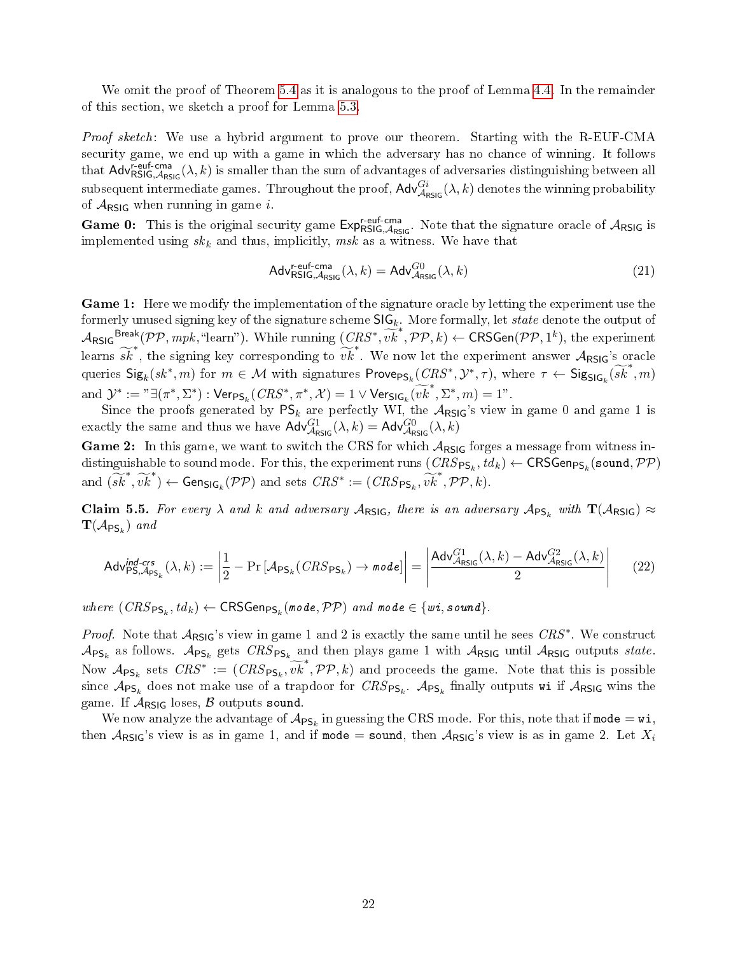We omit the proof of Theorem [5.4](#page-20-0) as it is analogous to the proof of Lemma [4.4.](#page-17-1) In the remainder of this section, we sketch a proof for Lemma [5.3.](#page-20-1)

Proof sketch: We use a hybrid argument to prove our theorem. Starting with the R-EUF-CMA security game, we end up with a game in which the adversary has no chance of winning. It follows that  $Adv_{RSIG, A_{RSIG}}^{r\text{-}ema}(\lambda, k)$  is smaller than the sum of advantages of adversaries distinguishing between all  $\sup$  subsequent intermediate games. Throughout the proof,  $\mathsf{Adv}_{\mathcal{A}_{\mathsf{RSIG}}}^{Gi}(\lambda, k)$  denotes the winning probability of  $A_{RSIG}$  when running in game i.

Game 0: This is the original security game  $Exp_{RSIG, \mathcal{A}_{RSIG}}^{r-euf-cma}$ . Note that the signature oracle of  $\mathcal{A}_{RSIG}$  is implemented using  $sk_k$  and thus, implicitly, msk as a witness. We have that

<span id="page-21-0"></span>
$$
\mathsf{Adv}_{\mathsf{RSIG},\mathcal{A}_{\mathsf{RSIG}}}^{\mathsf{r}\text{-}\mathsf{euf}\text{-}\mathsf{cma}}(\lambda,k) = \mathsf{Adv}_{\mathcal{A}_{\mathsf{RSIG}}}^{\mathsf{G0}}(\lambda,k)
$$
(21)

Game 1: Here we modify the implementation of the signature oracle by letting the experiment use the formerly unused signing key of the signature scheme  $\mathsf{SIG}_k$ . More formally, let state denote the output of  $\mathcal{A}_{\text{RSIG}}^{\text{Break}}(\mathcal{PP},\text{mpk},\text{``learn''}).$  While running  $(\mathcal{C}\text{RS}^*,\widetilde{vk}^*,\mathcal{PP},k) \leftarrow \text{CRSGen}(\mathcal{PP},1^k)$ , the experiment learns  $\widetilde{sk}^*$ , the signing key corresponding to  $\widetilde{vk}^*$ . We now let the experiment answer  $\mathcal{A}_{\text{RSIG}}$ 's oracle queries  $\textsf{Sig}_k(sk^*,m)$  for  $m \in \mathcal{M}$  with signatures  $\textsf{Prove}_{\textsf{PS}_k}(\overline{CRS^*},\mathcal{Y}^*,\tau)$ , where  $\tau \leftarrow \textsf{Sig}_{\textsf{SIG}_k}(\widetilde{sk}^*,m)$ and  $\mathcal{Y}^* := \text{arg}(\pi^*, \Sigma^*) : \text{Ver}_{\text{PS}_k}(CRS^*, \pi^*, \mathcal{X}) = 1 \vee \text{Ver}_{\text{SIG}_k}(\widetilde{vk}^*, \Sigma^*, m) = 1$ ".

Since the proofs generated by  $PS_k$  are perfectly WI, the  $A_{RSIG}$ 's view in game 0 and game 1 is exactly the same and thus we have  $\mathsf{Adv}_{\mathcal{A}_{\mathsf{RSIG}}}^{G1}(\lambda, k) = \mathsf{Adv}_{\mathcal{A}_{\mathsf{RSIG}}}^{G0}(\lambda, k)$ 

**Game 2:** In this game, we want to switch the CRS for which  $A_{RSIG}$  forges a message from witness indistinguishable to sound mode. For this, the experiment runs  $(CRS_{\mathsf{PS}_k}, td_k) \leftarrow \mathsf{CRSGen}_{\mathsf{PS}_k}(\mathsf{sound}, \mathcal{PP})$ and  $(s\widetilde{k}^*, \widetilde{vk}^*) \leftarrow \mathsf{Gen}_{\mathsf{SIG}_k}(\mathcal{PP})$  and sets  $CRS^* := (CRS_{\mathsf{PS}_k}, \widetilde{vk}^*, \mathcal{PP}, k)$ .

Claim 5.5. For every  $\lambda$  and k and adversary  $A_{RSIG}$ , there is an adversary  $A_{PS_k}$  with  $T(A_{RSIG}) \approx$  $\mathbf{T}(\mathcal{A}_{\mathsf{PS}_k})$  and

$$
\mathsf{Adv}_{\mathsf{PS},\mathcal{A}_{\mathsf{PS}_k}}^{\mathsf{ind}\text{-}\mathsf{crs}}(\lambda,k) := \left| \frac{1}{2} - \Pr\left[\mathcal{A}_{\mathsf{PS}_k}(CRS_{\mathsf{PS}_k}) \to \mathsf{mode} \right] \right| = \left| \frac{\mathsf{Adv}_{\mathcal{A}_{\mathsf{RSIG}}}^{G1}(\lambda,k) - \mathsf{Adv}_{\mathcal{A}_{\mathsf{RSIG}}}^{G2}(\lambda,k)}{2} \right| \tag{22}
$$

where  $(CRS_{PS_k}, td_k) \leftarrow \mathsf{CRSGen}_{PS_k}(\textit{mode}, \mathcal{PP})$  and  $\textit{mode} \in \{wi, sound\}.$ 

*Proof.* Note that  $A_{RSIG}$ 's view in game 1 and 2 is exactly the same until he sees  $CRS^*$ . We construct  $\mathcal{A}_{\sf PS}_k$  as follows.  $\mathcal{A}_{\sf PS}_k$  gets  $CRS_{\sf PS}_k$  and then plays game 1 with  $\mathcal{A}_{\sf RSIG}$  until  $\mathcal{A}_{\sf RSIG}$  outputs state. Now  $\mathcal{A}_{PS_k}$  sets  $CRS^* := (CRS_{PS_k}, \widetilde{vk}^*, \mathcal{PP}, k)$  and proceeds the game. Note that this is possible since  $\mathcal{A}_{\sf PS}_k$  does not make use of a trapdoor for  $CRS_{\sf PS}_k$ .  $\mathcal{A}_{\sf PS}_k$  finally outputs wi if  $\mathcal{A}_{\sf RSIG}$  wins the game. If  $A_{RSIG}$  loses,  $\beta$  outputs sound.

We now analyze the advantage of  $\mathcal{A}_{PS_k}$  in guessing the CRS mode. For this, note that if mode  $=\mathtt{wi}$ , then  $A_{RSIG}$ 's view is as in game 1, and if mode = sound, then  $A_{RSIG}$ 's view is as in game 2. Let  $X_i$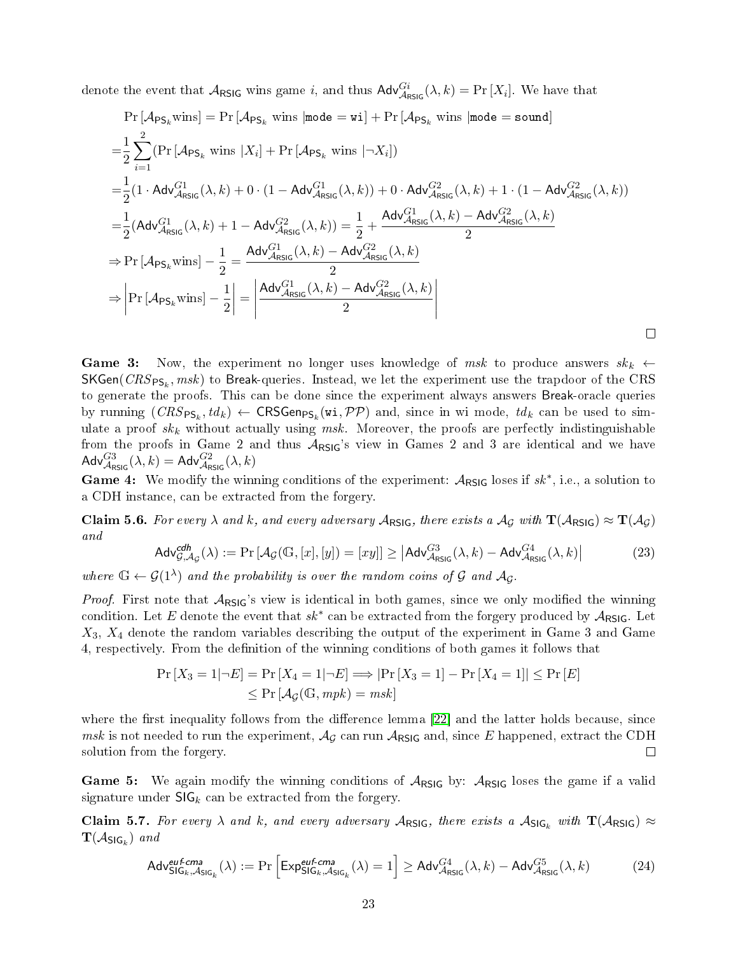denote the event that  $\mathcal{A}_{\mathsf{RSIG}}$  wins game i, and thus  $\mathsf{Adv}_{\mathcal{A}_{\mathsf{RSIG}}}^{Gi}(\lambda, k) = \Pr [X_i]$ . We have that

$$
\Pr\left[\mathcal{A}_{\mathsf{PS}_k}\text{wins}\right] = \Pr\left[\mathcal{A}_{\mathsf{PS}_k}\text{ wins }\middle|\text{mode}=\text{wi}\right] + \Pr\left[\mathcal{A}_{\mathsf{PS}_k}\text{ wins }\middle|\text{mode}=\text{sound}\right] \n= \frac{1}{2}\sum_{i=1}^{2} (\Pr\left[\mathcal{A}_{\mathsf{PS}_k}\text{ wins }|X_i\right] + \Pr\left[\mathcal{A}_{\mathsf{PS}_k}\text{ wins }|\neg X_i\right]) \n= \frac{1}{2} (1 \cdot \mathsf{Adv}_{\mathcal{A}_{\mathsf{RSIG}}}^{G1}(\lambda, k) + 0 \cdot (1 - \mathsf{Adv}_{\mathcal{A}_{\mathsf{RSIG}}}^{G1}(\lambda, k)) + 0 \cdot \mathsf{Adv}_{\mathcal{A}_{\mathsf{RSIG}}}^{G2}(\lambda, k) + 1 \cdot (1 - \mathsf{Adv}_{\mathcal{A}_{\mathsf{RSIG}}}^{G2}(\lambda, k)) \n= \frac{1}{2} (\mathsf{Adv}_{\mathcal{A}_{\mathsf{RSIG}}}^{G1}(\lambda, k) + 1 - \mathsf{Adv}_{\mathcal{A}_{\mathsf{RSIG}}^{G2}}^{G2}(\lambda, k)) = \frac{1}{2} + \frac{\mathsf{Adv}_{\mathcal{A}_{\mathsf{RSIG}}}^{G1}(\lambda, k) - \mathsf{Adv}_{\mathcal{A}_{\mathsf{RSIG}}^{G2}}^{G2}(\lambda, k)}{2} \n\Rightarrow \Pr\left[\mathcal{A}_{\mathsf{PS}_k}\text{wins}\right] - \frac{1}{2} = \frac{\mathsf{Adv}_{\mathcal{A}_{\mathsf{RSIG}}^{G1}}^{G1}(\lambda, k) - \mathsf{Adv}_{\mathcal{A}_{\mathsf{RSIG}}^{G2}(\lambda, k)}{2} \n\Rightarrow \left|\Pr\left[\mathcal{A}_{\mathsf{PS}_k}\text{wins}\right] - \frac{1}{2}\right| = \left|\frac{\mathsf{Adv}_{\mathcal{A}_{\mathsf{RSIG}}^{G1}}^{G1}(\lambda, k) - \mathsf{Adv}_{\mathcal{A}_{\mathsf{RSIG}}^{G2}(\lambda, k)}{2}\right|
$$

**Game 3:** Now, the experiment no longer uses knowledge of msk to produce answers  $sk_k \leftarrow$  $\mathsf{SKGen}(\mathit{CRS}_\mathsf{PS}_k,\mathit{msk})$  to Break-queries. Instead, we let the experiment use the trapdoor of the CRS to generate the proofs. This can be done since the experiment always answers Break-oracle queries by running  $(CRS_{PS_k}, td_k) \leftarrow \textsf{CRSGen}_{PS_k}(\texttt{wi}, \mathcal{PP})$  and, since in wi mode,  $td_k$  can be used to simulate a proof  $sk_k$  without actually using  $msk$ . Moreover, the proofs are perfectly indistinguishable from the proofs in Game 2 and thus  $A_{RSIG}$ 's view in Games 2 and 3 are identical and we have  $\mathsf{Adv}_{\mathcal{A}_{\mathsf{RSIG}}}^{G3}(\lambda, k) = \mathsf{Adv}_{\mathcal{A}_{\mathsf{RSIG}}}^{G2}(\lambda, k)$ 

Game 4: We modify the winning conditions of the experiment:  $A_{RSIG}$  loses if  $sk^*$ , i.e., a solution to a CDH instance, can be extracted from the forgery.

Claim 5.6. For every  $\lambda$  and k, and every adversary  $A_{RSIG}$ , there exists a  $A_G$  with  $\mathbf{T}(A_{RSIG}) \approx \mathbf{T}(A_G)$ and

$$
\mathsf{Adv}_{\mathcal{G},\mathcal{A}_{\mathcal{G}}}^{\mathsf{cdh}}(\lambda) := \Pr\left[\mathcal{A}_{\mathcal{G}}(\mathbb{G},[x],[y]) = [xy]\right] \ge \left|\mathsf{Adv}_{\mathcal{A}_{\mathsf{RSIG}}}^{\mathcal{G}3}(\lambda,k) - \mathsf{Adv}_{\mathcal{A}_{\mathsf{RSIG}}}^{\mathcal{G}4}(\lambda,k)\right| \tag{23}
$$

 $\Box$ 

where  $\mathbb{G} \leftarrow \mathcal{G}(1^{\lambda})$  and the probability is over the random coins of  $\mathcal G$  and  $\mathcal A_{\mathcal G}$ .

*Proof.* First note that  $A_{RSJG}$ 's view is identical in both games, since we only modified the winning condition. Let  $E$  denote the event that  $sk^*$  can be extracted from the forgery produced by  $\mathcal{A}_{\mathsf{RSIG}}$ . Let  $X_3, X_4$  denote the random variables describing the output of the experiment in Game 3 and Game 4, respectively. From the definition of the winning conditions of both games it follows that

$$
\Pr\left[X_3 = 1 | \neg E\right] = \Pr\left[X_4 = 1 | \neg E\right] \Longrightarrow \left|\Pr\left[X_3 = 1\right] - \Pr\left[X_4 = 1\right]\right| \le \Pr\left[E\right] \le \Pr\left[\mathcal{A}_{\mathcal{G}}(\mathbb{G}, mpk) = msk\right]
$$

where the first inequality follows from the difference lemma  $[22]$  and the latter holds because, since msk is not needed to run the experiment,  $\mathcal{A}_{\mathcal{G}}$  can run  $\mathcal{A}_{\text{RSIG}}$  and, since E happened, extract the CDH solution from the forgery.  $\Box$ 

Game 5: We again modify the winning conditions of  $A_{RSIG}$  by:  $A_{RSIG}$  loses the game if a valid signature under  $\mathsf{SIG}_k$  can be extracted from the forgery.

Claim 5.7. For every  $\lambda$  and k, and every adversary  $A_{RSIG}$ , there exists a  $A_{SIG_k}$  with  $T(A_{RSIG}) \approx$  $\mathbf{T}(\mathcal{A}_{\mathsf{SIG}_k})$  and

<span id="page-22-0"></span>
$$
\mathsf{Adv}_{\mathsf{SIG}_k,\mathcal{A}_{\mathsf{SIG}_k}}^{\mathit{euf-cma}}(\lambda) := \Pr\left[\mathsf{Exp}_{\mathsf{SIG}_k,\mathcal{A}_{\mathsf{SIG}_k}}^{\mathit{euf-cma}}(\lambda) = 1\right] \geq \mathsf{Adv}_{\mathcal{A}_{\mathsf{RSIG}}}^{\mathit{G4}}(\lambda,k) - \mathsf{Adv}_{\mathcal{A}_{\mathsf{RSIG}}}^{\mathit{G5}}(\lambda,k) \tag{24}
$$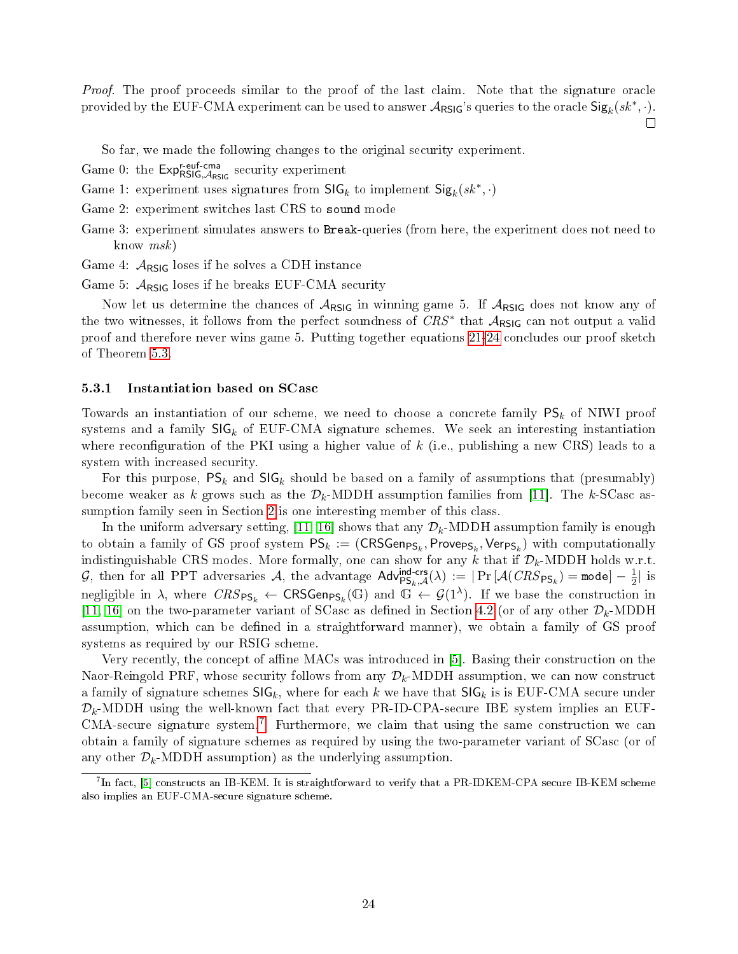Proof. The proof proceeds similar to the proof of the last claim. Note that the signature oracle provided by the EUF-CMA experiment can be used to answer  $\mathcal{A}_{\sf RSIG}$ 's queries to the oracle  $\sf Sig_k(sk^*, \cdot).$  $\Box$ 

So far, we made the following changes to the original security experiment.

- Game 0: the Expr-euf-cma security experiment
- Game 1: experiment uses signatures from  $\mathsf{SIG}_k$  to implement  $\mathsf{Sig}_k({\mathfrak s}{\mathfrak k}^*,\cdot)$
- Game 2: experiment switches last CRS to sound mode
- Game 3: experiment simulates answers to Break-queries (from here, the experiment does not need to know msk)
- Game 4:  $A_{RSIG}$  loses if he solves a CDH instance

Game 5:  $A_{RSIG}$  loses if he breaks EUF-CMA security

Now let us determine the chances of  $A_{RSIG}$  in winning game 5. If  $A_{RSIG}$  does not know any of the two witnesses, it follows from the perfect soundness of  $CRS^*$  that  $\mathcal{A}_{\mathsf{RSIG}}$  can not output a valid proof and therefore never wins game 5. Putting together equations [21](#page-21-0)[-24](#page-22-0) concludes our proof sketch of Theorem [5.3.](#page-20-1)

#### 5.3.1 Instantiation based on SCasc

Towards an instantiation of our scheme, we need to choose a concrete family  $PS_k$  of NIWI proof systems and a family  $\mathsf{SIG}_k$  of EUF-CMA signature schemes. We seek an interesting instantiation where reconfiguration of the PKI using a higher value of  $k$  (i.e., publishing a new CRS) leads to a system with increased security.

For this purpose,  $PS_k$  and  $SIG_k$  should be based on a family of assumptions that (presumably) become weaker as k grows such as the  $\mathcal{D}_k$ -MDDH assumption families from [\[11\]](#page-24-8). The k-SCasc assumption family seen in Section [2](#page-4-0) is one interesting member of this class.

In the uniform adversary setting, [\[11,](#page-24-8) [16\]](#page-25-7) shows that any  $\mathcal{D}_k$ -MDDH assumption family is enough to obtain a family of GS proof system  $\mathsf{PS}_k:=(\mathsf{CRSGen}_{\mathsf{PS}_k},\mathsf{Prove}_{\mathsf{PS}_k},\mathsf{Ver}_{\mathsf{PS}_k})$  with computationally indistinguishable CRS modes. More formally, one can show for any k that if  $\mathcal{D}_k$ -MDDH holds w.r.t. G, then for all PPT adversaries A, the advantage  $\textsf{Adv}^{\textsf{ind-crs}}_{\textsf{PS}_k,\mathcal{A}}(\lambda) := |\Pr[\mathcal{A}(CRS_{\textsf{PS}_k}) = \texttt{mode}] - \frac{1}{2}$  $rac{1}{2}$  is negligible in  $\lambda$ , where  $CRS_{PS_k} \leftarrow \mathsf{CRSGen}_{PS_k}(\mathbb{G})$  and  $\mathbb{G} \leftarrow \mathcal{G}(1^{\lambda})$ . If we base the construction in [\[11,](#page-24-8) [16\]](#page-25-7) on the two-parameter variant of SCasc as defined in Section [4.2](#page-14-0) (or of any other  $\mathcal{D}_k$ -MDDH assumption, which can be defined in a straightforward manner), we obtain a family of GS proof systems as required by our RSIG scheme.

Very recently, the concept of affine MACs was introduced in [\[5\]](#page-24-14). Basing their construction on the Naor-Reingold PRF, whose security follows from any  $\mathcal{D}_k$ -MDDH assumption, we can now construct a family of signature schemes  $\mathsf{SIG}_k$ , where for each k we have that  $\mathsf{SIG}_k$  is is EUF-CMA secure under  $\mathcal{D}_k$ -MDDH using the well-known fact that every PR-ID-CPA-secure IBE system implies an EUF-CMA-secure signature system.[7](#page-23-0) Furthermore, we claim that using the same construction we can obtain a family of signature schemes as required by using the two-parameter variant of SCasc (or of any other  $\mathcal{D}_k$ -MDDH assumption) as the underlying assumption.

<span id="page-23-0"></span><sup>&</sup>lt;sup>7</sup>In fact, [\[5\]](#page-24-14) constructs an IB-KEM. It is straightforward to verify that a PR-IDKEM-CPA secure IB-KEM scheme also implies an EUF-CMA-secure signature scheme.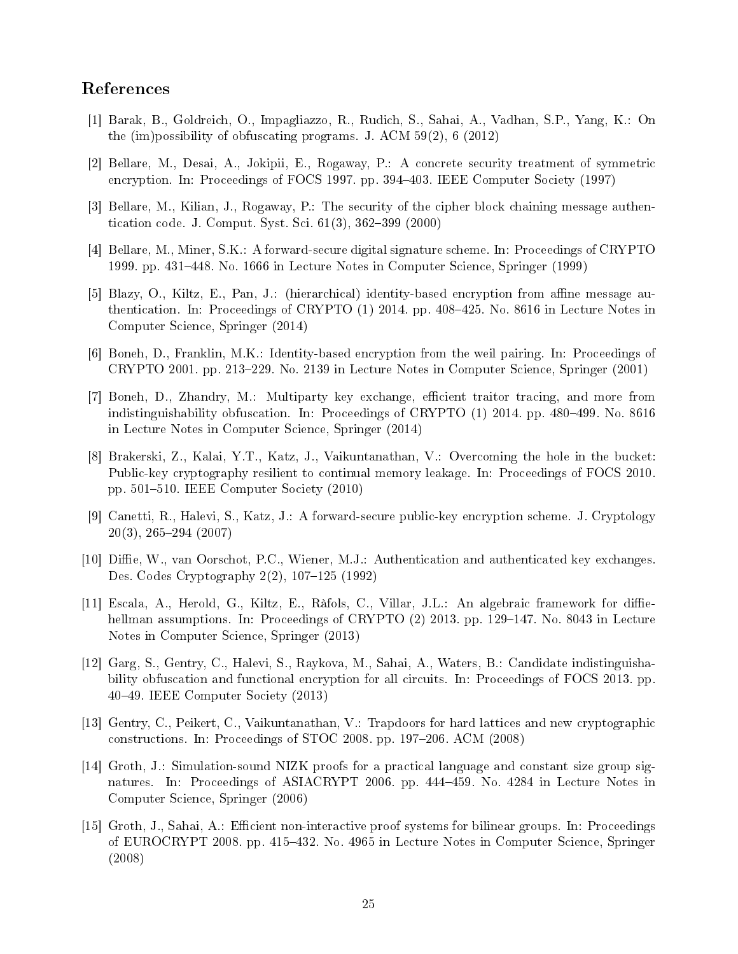## References

- <span id="page-24-6"></span>[1] Barak, B., Goldreich, O., Impagliazzo, R., Rudich, S., Sahai, A., Vadhan, S.P., Yang, K.: On the (im)possibility of obfuscating programs. J. ACM  $59(2)$ , 6 (2012)
- <span id="page-24-5"></span>[2] Bellare, M., Desai, A., Jokipii, E., Rogaway, P.: A concrete security treatment of symmetric encryption. In: Proceedings of FOCS 1997. pp. 394-403. IEEE Computer Society (1997)
- <span id="page-24-4"></span>[3] Bellare, M., Kilian, J., Rogaway, P.: The security of the cipher block chaining message authentication code. J. Comput. Syst. Sci.  $61(3)$ ,  $362-399$   $(2000)$
- <span id="page-24-2"></span>[4] Bellare, M., Miner, S.K.: A forward-secure digital signature scheme. In: Proceedings of CRYPTO 1999. pp. 431–448. No. 1666 in Lecture Notes in Computer Science, Springer (1999)
- <span id="page-24-14"></span>[5] Blazy, O., Kiltz, E., Pan, J.: (hierarchical) identity-based encryption from affine message authentication. In: Proceedings of CRYPTO  $(1)$  2014. pp. 408–425. No. 8616 in Lecture Notes in Computer Science, Springer (2014)
- <span id="page-24-0"></span>[6] Boneh, D., Franklin, M.K.: Identity-based encryption from the weil pairing. In: Proceedings of CRYPTO 2001. pp. 213–229. No. 2139 in Lecture Notes in Computer Science, Springer  $(2001)$
- <span id="page-24-9"></span>[7] Boneh, D., Zhandry, M.: Multiparty key exchange, efficient traitor tracing, and more from indistinguishability obfuscation. In: Proceedings of CRYPTO  $(1)$  2014. pp. 480–499. No. 8616 in Lecture Notes in Computer Science, Springer (2014)
- <span id="page-24-11"></span>[8] Brakerski, Z., Kalai, Y.T., Katz, J., Vaikuntanathan, V.: Overcoming the hole in the bucket: Public-key cryptography resilient to continual memory leakage. In: Proceedings of FOCS 2010. pp. 501–510. IEEE Computer Society (2010)
- <span id="page-24-3"></span>[9] Canetti, R., Halevi, S., Katz, J.: A forward-secure public-key encryption scheme. J. Cryptology  $20(3)$ ,  $265-294$  (2007)
- <span id="page-24-1"></span>[10] Diffie, W., van Oorschot, P.C., Wiener, M.J.: Authentication and authenticated key exchanges. Des. Codes Cryptography  $2(2)$ ,  $107-125$  (1992)
- <span id="page-24-8"></span>[11] Escala, A., Herold, G., Kiltz, E., Ràfols, C., Villar, J.L.: An algebraic framework for diffiehellman assumptions. In: Proceedings of CRYPTO  $(2)$  2013. pp. 129–147. No. 8043 in Lecture Notes in Computer Science, Springer (2013)
- <span id="page-24-7"></span>[12] Garg, S., Gentry, C., Halevi, S., Raykova, M., Sahai, A., Waters, B.: Candidate indistinguishability obfuscation and functional encryption for all circuits. In: Proceedings of FOCS 2013. pp. 4049. IEEE Computer Society (2013)
- <span id="page-24-10"></span>[13] Gentry, C., Peikert, C., Vaikuntanathan, V.: Trapdoors for hard lattices and new cryptographic constructions. In: Proceedings of STOC 2008. pp. 197-206. ACM (2008)
- <span id="page-24-13"></span>[14] Groth, J.: Simulation-sound NIZK proofs for a practical language and constant size group signatures. In: Proceedings of ASIACRYPT 2006. pp. 444–459. No. 4284 in Lecture Notes in Computer Science, Springer (2006)
- <span id="page-24-12"></span>[15] Groth, J., Sahai, A.: Efficient non-interactive proof systems for bilinear groups. In: Proceedings of EUROCRYPT 2008. pp. 415432. No. 4965 in Lecture Notes in Computer Science, Springer (2008)